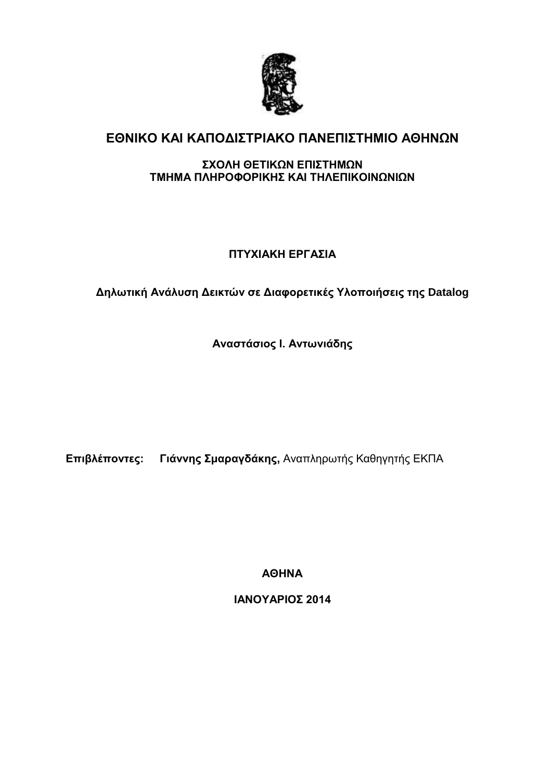

# **ΕΘΝΙΚΟ ΚΑΙ ΚΑΠΟΔΙΣΤΡΙΑΚΟ ΠΑΝΕΠΙΣΤΗΜΙΟ ΑΘΗΝΩΝ**

### **ΣΧΟΛΗ ΘΕΤΙΚΩΝ ΕΠΙΣΤΗΜΩΝ ΤΜΗΜΑ ΠΛΗΡΟΦΟΡΙΚΗΣ ΚΑΙ ΤΗΛΕΠΙΚΟΙΝΩΝΙΩΝ**

## **ΠΤΥΧΙΑΚΗ ΕΡΓΑΣΙΑ**

## **Δηλωτική Ανάλυση Δεικτών σε Διαφορετικές Υλοποιήσεις της Datalog**

**Αναστάσιος Ι. Αντωνιάδης**

**Επιβλέποντες: Γιάννης Σμαραγδάκης,** Αναπληρωτής Καθηγητής ΕΚΠΑ

**ΑΘΗΝΑ**

**ΙΑΝΟΥΑΡΙΟΣ 2014**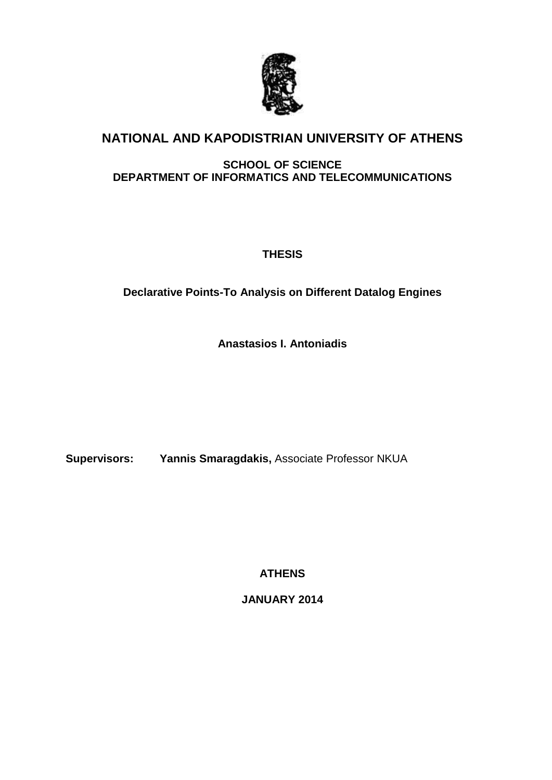

# **NATIONAL AND KAPODISTRIAN UNIVERSITY OF ATHENS**

## **SCHOOL OF SCIENCE DEPARTMENT OF INFORMATICS AND TELECOMMUNICATIONS**

**THESIS**

## **Declarative Points-To Analysis on Different Datalog Engines**

**Anastasios I. Antoniadis**

**Supervisors: Yannis Smaragdakis,** Associate Professor NKUA

**ATHENS**

**JANUARY 2014**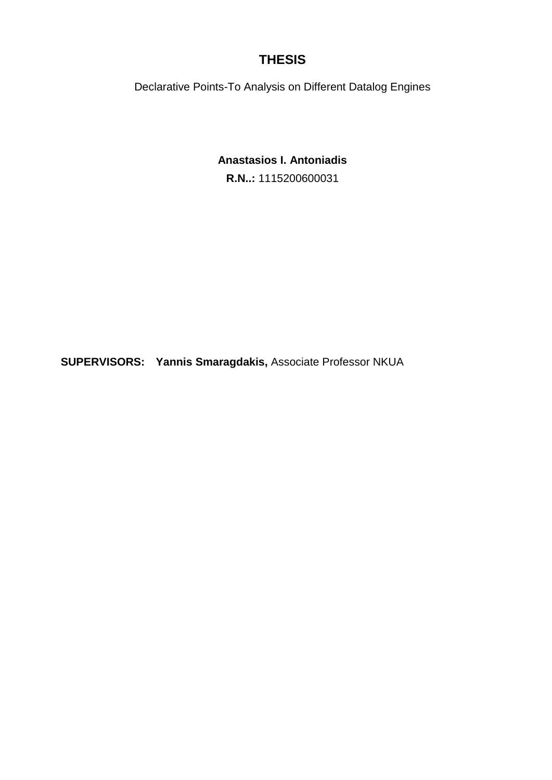# **THESIS**

Declarative Points-To Analysis on Different Datalog Engines

## **Anastasios I. Antoniadis**

**R.N..:** 1115200600031

**SUPERVISORS: Yannis Smaragdakis,** Associate Professor NKUA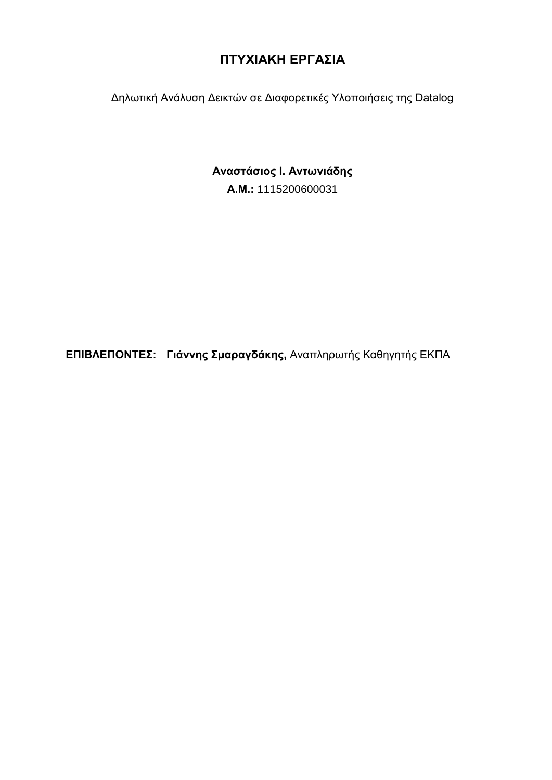# **ΠΤΥΧΙΑΚΗ ΕΡΓΑΣΙΑ**

Δηλωτική Ανάλυση Δεικτών σε Διαφορετικές Υλοποιήσεις της Datalog

# **Αναστάσιος Ι. Αντωνιάδης**

**Α.Μ.:** 1115200600031

**ΕΠΙΒΛΕΠΟΝΤΕΣ: Γιάννης Σμαραγδάκης,** Αναπληρωτής Καθηγητής ΕΚΠΑ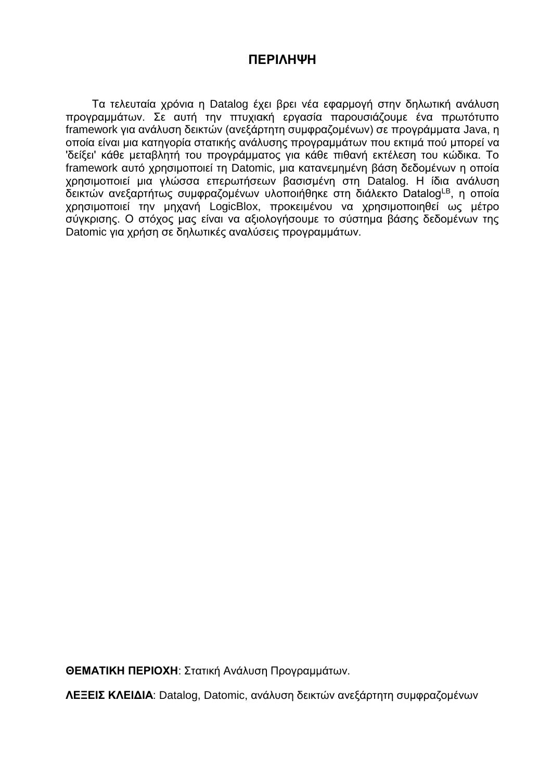## **ΠΕΡΙΛΗΨΗ**

Τα τελευταία χρόνια η Datalog έχει βρει νέα εφαρμογή στην δηλωτική ανάλυση προγραμμάτων. Σε αυτή την πτυχιακή εργασία παρουσιάζουμε ένα πρωτότυπο framework για ανάλυση δεικτών (ανεξάρτητη συμφραζομένων) σε προγράμματα Java, η οποία είναι μια κατηγορία στατικής ανάλυσης προγραμμάτων που εκτιμά πού μπορεί να 'δείξει' κάθε μεταβλητή του προγράμματος για κάθε πιθανή εκτέλεση του κώδικα. Το framework αυτό χρησιμοποιεί τη Datomic, μια κατανεμημένη βάση δεδομένων η οποία χρησιμοποιεί μια γλώσσα επερωτήσεων βασισμένη στη Datalog. Η ίδια ανάλυση δεικτών ανεξαρτήτως συμφραζομένων υλοποιήθηκε στη διάλεκτο DatalogLB, η οποία χρησιμοποιεί την μηχανή LogicBlox, προκειμένου να χρησιμοποιηθεί ως μέτρο σύγκρισης. Ο στόχος μας είναι να αξιολογήσουμε το σύστημα βάσης δεδομένων της Datomic για χρήση σε δηλωτικές αναλύσεις προγραμμάτων.

**ΘΕΜΑΤΙΚΗ ΠΕΡΙΟΧΗ**: Στατική Ανάλυση Προγραμμάτων.

**ΛΕΞΕΙΣ ΚΛΕΙΔΙΑ**: Datalog, Datomic, ανάλυση δεικτών ανεξάρτητη συμφραζομένων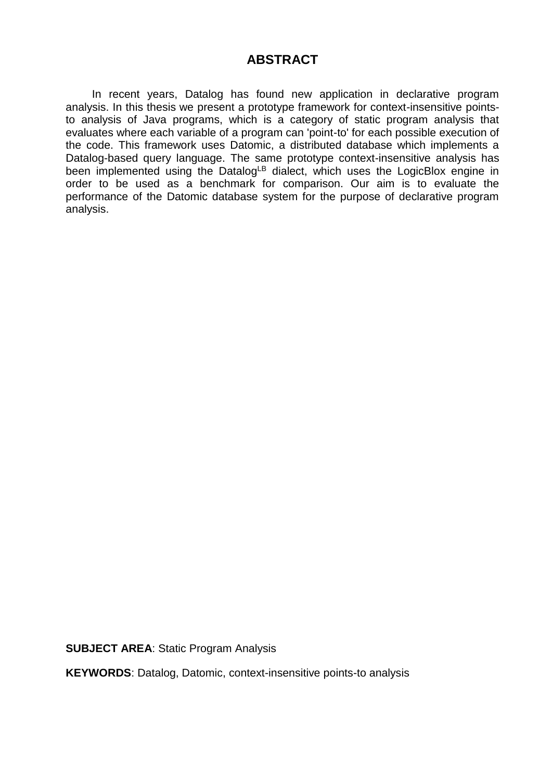## **ABSTRACT**

In recent years, Datalog has found new application in declarative program analysis. In this thesis we present a prototype framework for context-insensitive pointsto analysis of Java programs, which is a category of static program analysis that evaluates where each variable of a program can 'point-to' for each possible execution of the code. This framework uses Datomic, a distributed database which implements a Datalog-based query language. The same prototype context-insensitive analysis has been implemented using the DatalogLB dialect, which uses the LogicBlox engine in order to be used as a benchmark for comparison. Our aim is to evaluate the performance of the Datomic database system for the purpose of declarative program analysis.

**SUBJECT AREA**: Static Program Analysis

**KEYWORDS**: Datalog, Datomic, context-insensitive points-to analysis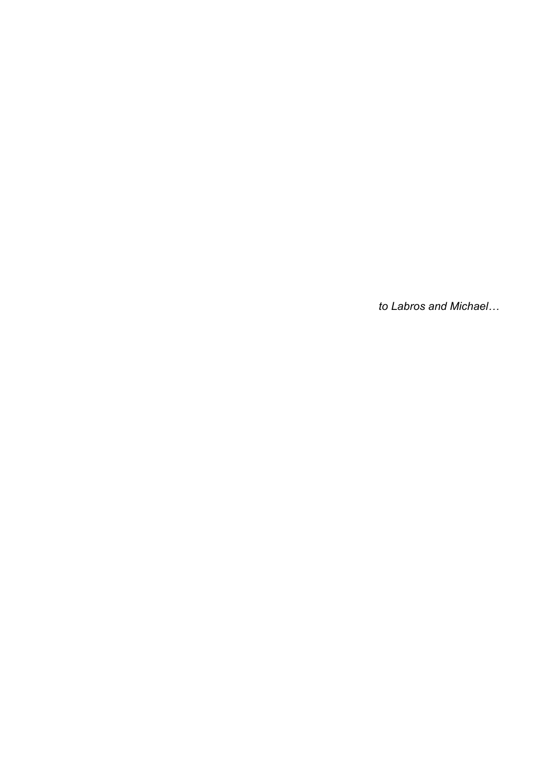*to Labros and Michael…*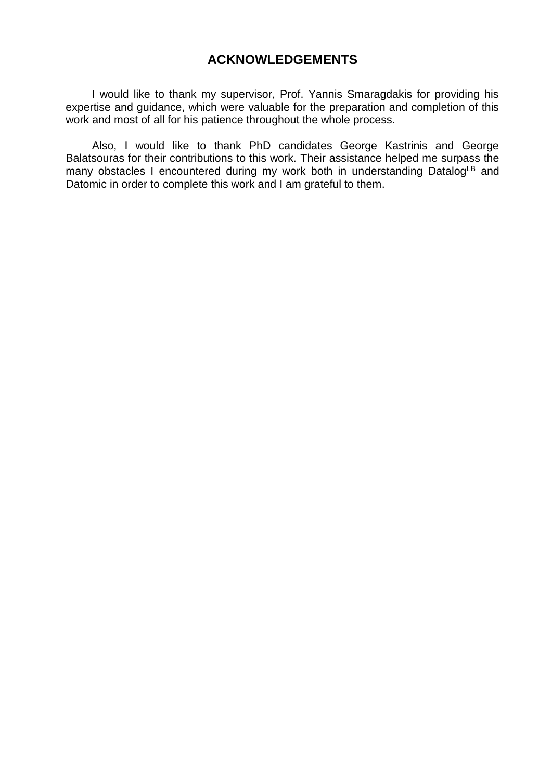## **ACKNOWLEDGEMENTS**

I would like to thank my supervisor, Prof. Yannis Smaragdakis for providing his expertise and guidance, which were valuable for the preparation and completion of this work and most of all for his patience throughout the whole process.

Also, I would like to thank PhD candidates George Kastrinis and George Balatsouras for their contributions to this work. Their assistance helped me surpass the many obstacles I encountered during my work both in understanding DatalogLB and Datomic in order to complete this work and I am grateful to them.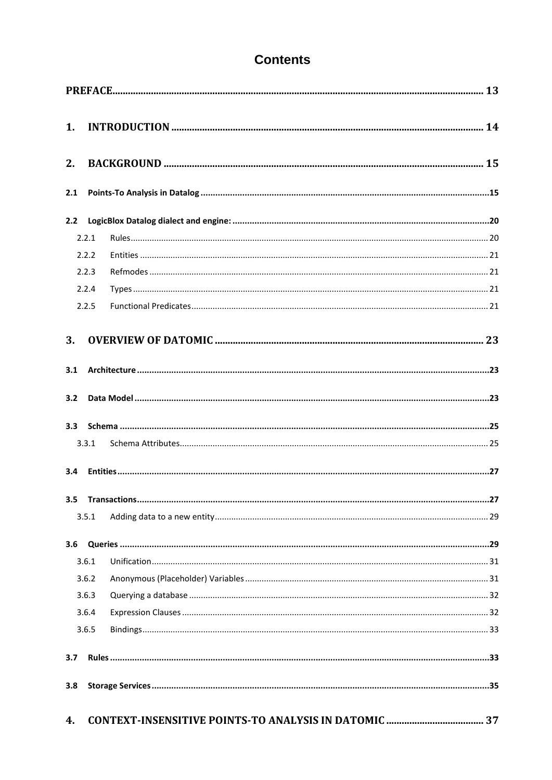# **Contents**

| 1 <sub>1</sub> |       |    |
|----------------|-------|----|
| 2.             |       |    |
| 2.1            |       |    |
|                |       |    |
|                | 2.2.1 |    |
|                | 2.2.2 |    |
|                | 2.2.3 |    |
|                | 2.2.4 |    |
|                | 2.2.5 |    |
| 3.             |       |    |
| 3.1            |       |    |
| 3.2            |       |    |
|                |       |    |
|                | 3.3.1 |    |
| 3.4            |       |    |
|                |       | 27 |
|                | 3.5.1 |    |
| 3.6            |       |    |
|                | 3.6.1 |    |
|                | 3.6.2 |    |
|                | 3.6.3 |    |
|                | 3.6.4 |    |
|                | 3.6.5 |    |
| 3.7            |       |    |
| 3.8            |       |    |
| 4.             |       |    |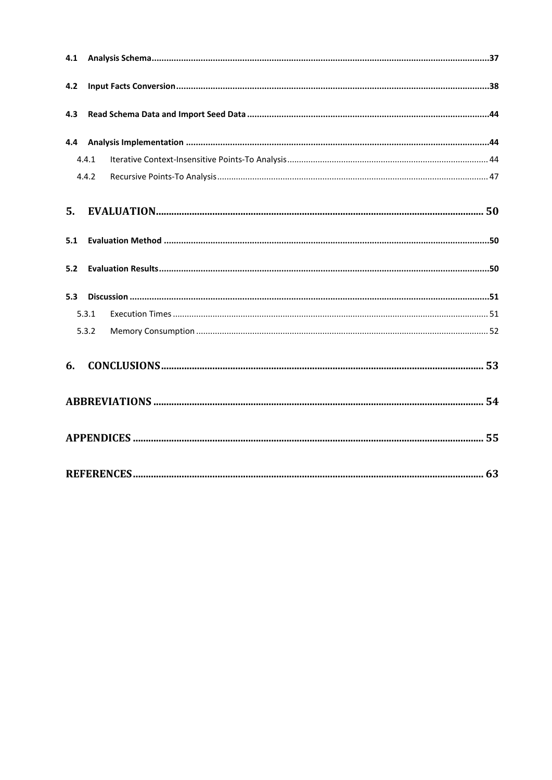| 4.2 |       |  |
|-----|-------|--|
| 4.3 |       |  |
| 4.4 |       |  |
|     | 4.4.1 |  |
|     | 4.4.2 |  |
| 5.  |       |  |
| 5.1 |       |  |
| 5.2 |       |  |
| 5.3 |       |  |
|     | 5.3.1 |  |
|     | 5.3.2 |  |
| 6.  |       |  |
|     |       |  |
|     |       |  |
|     |       |  |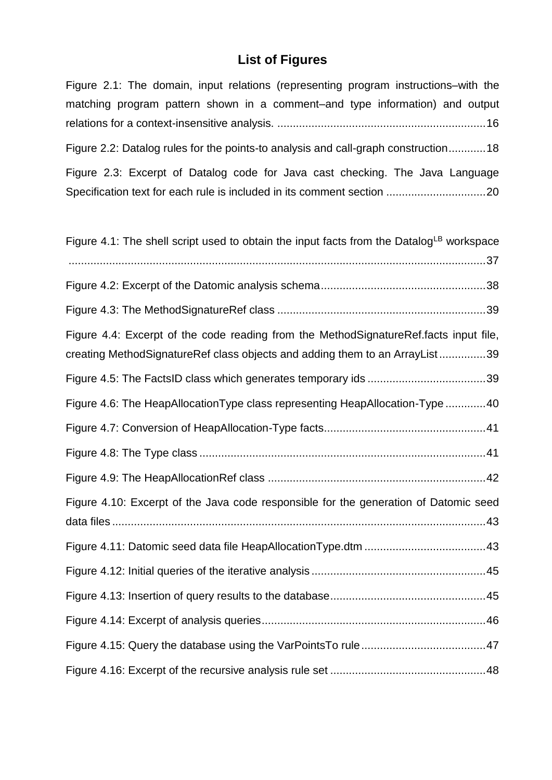# **List of Figures**

Figure 2.1: The domain, input relations (representing program instructions–with the

matching program pattern shown in a comment–and type information) and output

| Figure 2.2: Datalog rules for the points-to analysis and call-graph construction18                                                                                   |
|----------------------------------------------------------------------------------------------------------------------------------------------------------------------|
| Figure 2.3: Excerpt of Datalog code for Java cast checking. The Java Language                                                                                        |
| Figure 4.1: The shell script used to obtain the input facts from the Datalog <sup>LB</sup> workspace                                                                 |
|                                                                                                                                                                      |
|                                                                                                                                                                      |
| Figure 4.4: Excerpt of the code reading from the MethodSignatureRef.facts input file,<br>creating MethodSignatureRef class objects and adding them to an ArrayList39 |
|                                                                                                                                                                      |
| Figure 4.6: The HeapAllocationType class representing HeapAllocation-Type 40                                                                                         |
|                                                                                                                                                                      |
|                                                                                                                                                                      |
|                                                                                                                                                                      |
| Figure 4.10: Excerpt of the Java code responsible for the generation of Datomic seed                                                                                 |
|                                                                                                                                                                      |
|                                                                                                                                                                      |
|                                                                                                                                                                      |
|                                                                                                                                                                      |
|                                                                                                                                                                      |
|                                                                                                                                                                      |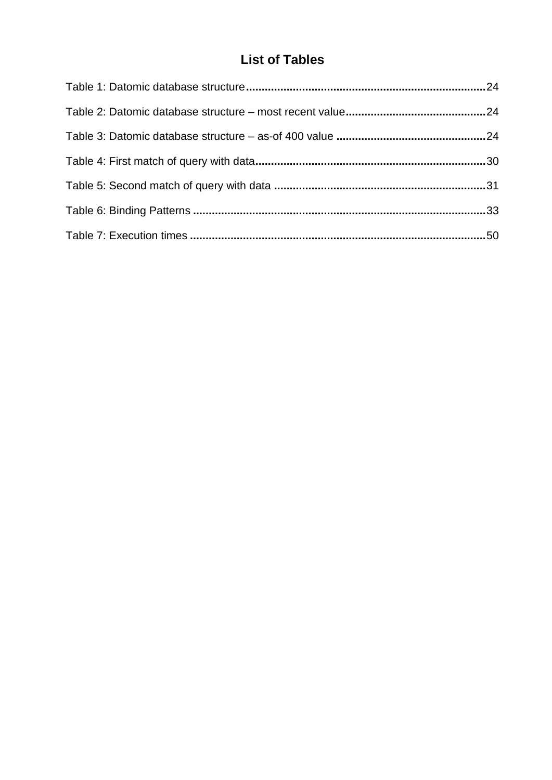# **List of Tables**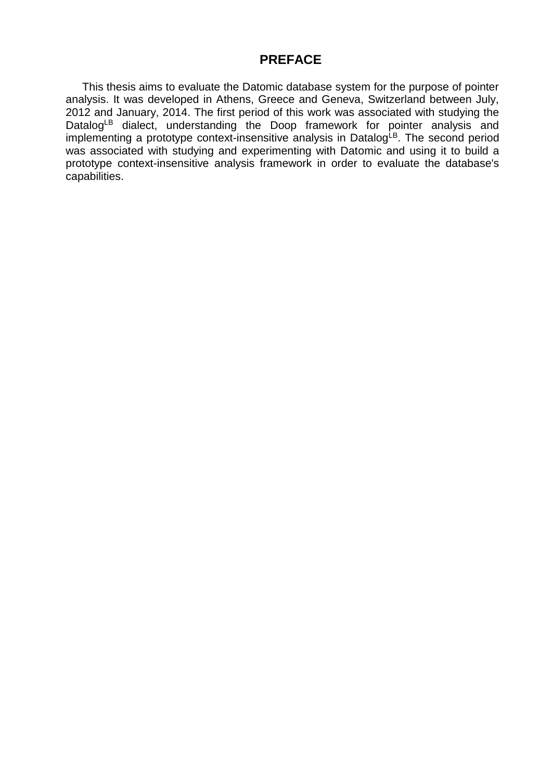## **PREFACE**

<span id="page-12-0"></span>This thesis aims to evaluate the Datomic database system for the purpose of pointer analysis. It was developed in Athens, Greece and Geneva, Switzerland between July, 2012 and January, 2014. The first period of this work was associated with studying the DatalogLB dialect, understanding the Doop framework for pointer analysis and implementing a prototype context-insensitive analysis in DatalogLB. The second period was associated with studying and experimenting with Datomic and using it to build a prototype context-insensitive analysis framework in order to evaluate the database's capabilities.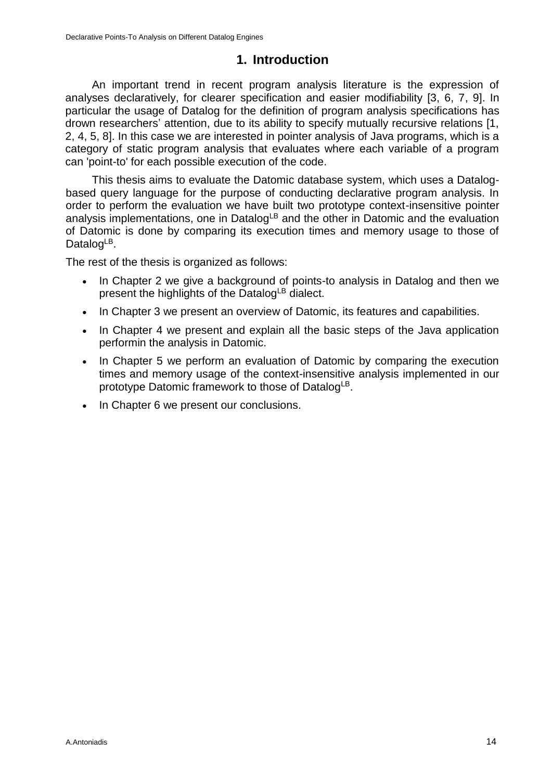## **1. Introduction**

<span id="page-13-0"></span>An important trend in recent program analysis literature is the expression of analyses declaratively, for clearer specification and easier modifiability [3, 6, 7, 9]. In particular the usage of Datalog for the definition of program analysis specifications has drown researchers' attention, due to its ability to specify mutually recursive relations [1, 2, 4, 5, 8]. In this case we are interested in pointer analysis of Java programs, which is a category of static program analysis that evaluates where each variable of a program can 'point-to' for each possible execution of the code.

This thesis aims to evaluate the Datomic database system, which uses a Datalogbased query language for the purpose of conducting declarative program analysis. In order to perform the evaluation we have built two prototype context-insensitive pointer analysis implementations, one in Datalog<sup>LB</sup> and the other in Datomic and the evaluation of Datomic is done by comparing its execution times and memory usage to those of Datalog<sup>LB</sup>.

The rest of the thesis is organized as follows:

- In Chapter 2 we give a background of points-to analysis in Datalog and then we present the highlights of the Datalog<sup>LB</sup> dialect.
- In Chapter 3 we present an overview of Datomic, its features and capabilities.
- In Chapter 4 we present and explain all the basic steps of the Java application performin the analysis in Datomic.
- In Chapter 5 we perform an evaluation of Datomic by comparing the execution times and memory usage of the context-insensitive analysis implemented in our prototype Datomic framework to those of Datalog<sup>LB</sup>.
- In Chapter 6 we present our conclusions.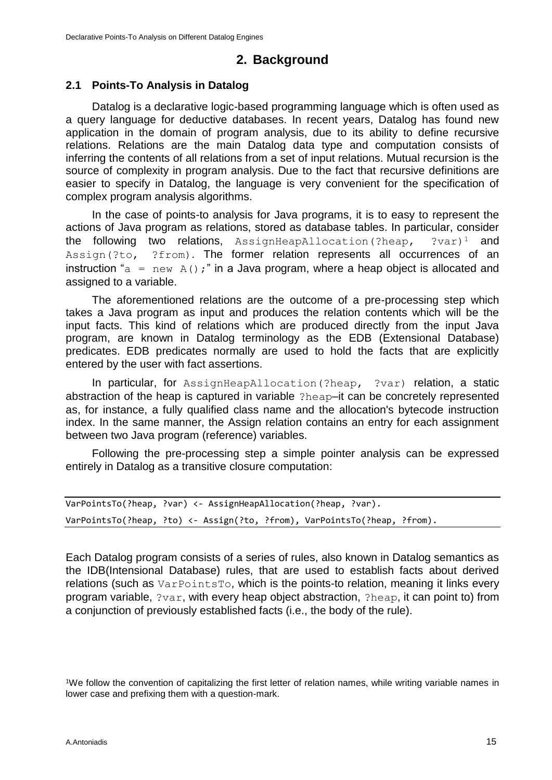## **2. Background**

#### <span id="page-14-1"></span><span id="page-14-0"></span>**2.1 Points-To Analysis in Datalog**

Datalog is a declarative logic-based programming language which is often used as a query language for deductive databases. In recent years, Datalog has found new application in the domain of program analysis, due to its ability to define recursive relations. Relations are the main Datalog data type and computation consists of inferring the contents of all relations from a set of input relations. Mutual recursion is the source of complexity in program analysis. Due to the fact that recursive definitions are easier to specify in Datalog, the language is very convenient for the specification of complex program analysis algorithms.

In the case of points-to analysis for Java programs, it is to easy to represent the actions of Java program as relations, stored as database tables. In particular, consider the following two relations,  $\text{AssymHeapAllocation}$ (?heap, ?var)<sup>1</sup> and Assign(?to, ?from). The former relation represents all occurrences of an instruction " $a = new A()$ ;" in a Java program, where a heap object is allocated and assigned to a variable.

The aforementioned relations are the outcome of a pre-processing step which takes a Java program as input and produces the relation contents which will be the input facts. This kind of relations which are produced directly from the input Java program, are known in Datalog terminology as the EDB (Extensional Database) predicates. EDB predicates normally are used to hold the facts that are explicitly entered by the user with fact assertions.

In particular, for AssignHeapAllocation(?heap, ?var) relation, a static abstraction of the heap is captured in variable ?heap–it can be concretely represented as, for instance, a fully qualified class name and the allocation's bytecode instruction index. In the same manner, the Assign relation contains an entry for each assignment between two Java program (reference) variables.

Following the pre-processing step a simple pointer analysis can be expressed entirely in Datalog as a transitive closure computation:

```
VarPointsTo(?heap, ?var) <- AssignHeapAllocation(?heap, ?var).
VarPointsTo(?heap, ?to) <- Assign(?to, ?from), VarPointsTo(?heap, ?from).
```
Each Datalog program consists of a series of rules, also known in Datalog semantics as the IDB(Intensional Database) rules, that are used to establish facts about derived relations (such as VarPointsTo, which is the points-to relation, meaning it links every program variable, ?var, with every heap object abstraction, ?heap, it can point to) from a conjunction of previously established facts (i.e., the body of the rule).

<sup>&</sup>lt;sup>1</sup>We follow the convention of capitalizing the first letter of relation names, while writing variable names in lower case and prefixing them with a question-mark.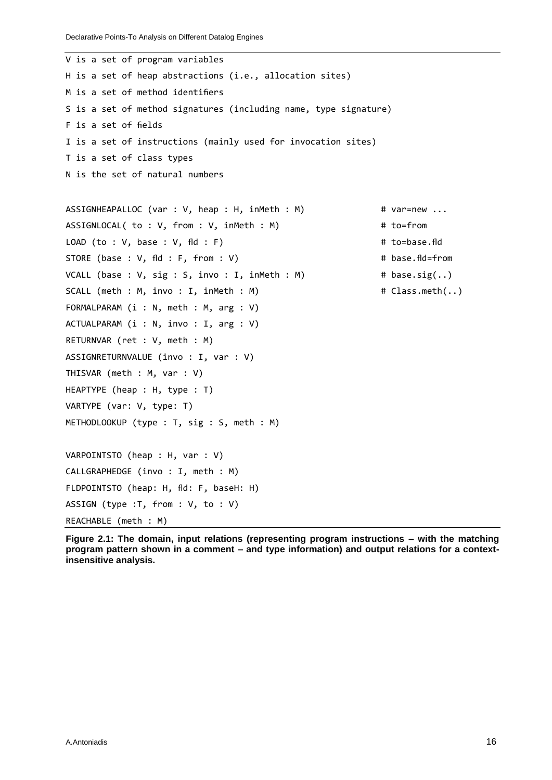```
V is a set of program variables
H is a set of heap abstractions (i.e., allocation sites)
M is a set of method identifiers
S is a set of method signatures (including name, type signature)
F is a set of fields
I is a set of instructions (mainly used for invocation sites)
T is a set of class types
N is the set of natural numbers
ASSIGNHEAPALLOC (var : V, heap : H, inMeth : M) # var=new ...
ASSIGNLOCAL( to : V, from : V, inMeth : M) # to=from
LOAD (to : V, base : V, fld : F) # to=base.fld
STORE (base : V, fld : F, from : V) # base.fld=from
VCALL (base : V, sig : S, invo : I, inMeth : M) \qquad # base.sig(..)
SCALL (meth : M, invo : I, inMeth : M) \qquad # Class.meth(..)
FORMALPARAM (i : N, meth : M, arg : V)
ACTUALPARAM (i : N, invo : I, arg : V)
RETURNVAR (ret : V, meth : M)
ASSIGNRETURNVALUE (invo : I, var : V)
THISVAR (meth : M, var : V)
HEAPTYPE (heap : H, type : T)
VARTYPE (var: V, type: T)
METHODLOOKUP (type : T, sig : S, meth : M)
VARPOINTSTO (heap : H, var : V)
CALLGRAPHEDGE (invo : I, meth : M)
FLDPOINTSTO (heap: H, fld: F, baseH: H)
ASSIGN (type :T, from : V, to : V)
REACHABLE (meth : M)
```
**Figure 2.1: The domain, input relations (representing program instructions – with the matching program pattern shown in a comment – and type information) and output relations for a contextinsensitive analysis.**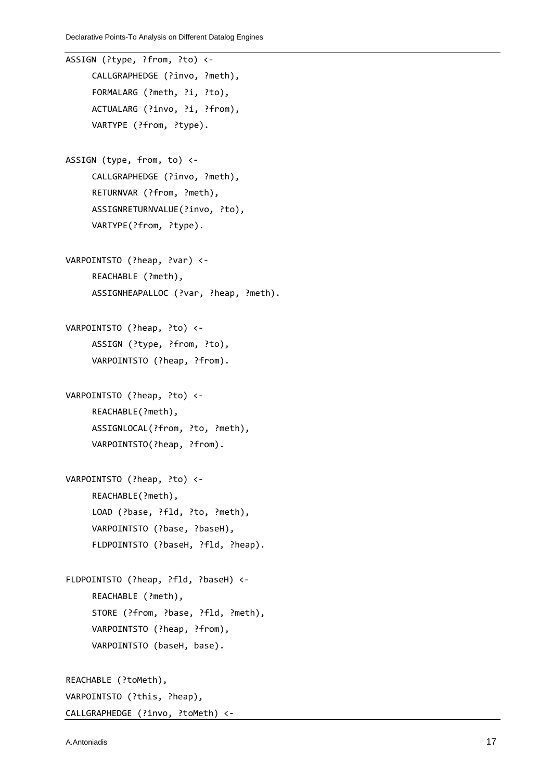```
ASSIGN (?type, ?from, ?to) <-
     CALLGRAPHEDGE (?invo, ?meth),
     FORMALARG (?meth, ?i, ?to), 
     ACTUALARG (?invo, ?i, ?from),
     VARTYPE (?from, ?type).
ASSIGN (type, from, to) <-
     CALLGRAPHEDGE (?invo, ?meth),
     RETURNVAR (?from, ?meth), 
     ASSIGNRETURNVALUE(?invo, ?to),
     VARTYPE(?from, ?type).
VARPOINTSTO (?heap, ?var) <-
     REACHABLE (?meth), 
     ASSIGNHEAPALLOC (?var, ?heap, ?meth).
VARPOINTSTO (?heap, ?to) <-
     ASSIGN (?type, ?from, ?to), 
     VARPOINTSTO (?heap, ?from).
VARPOINTSTO (?heap, ?to) <-
     REACHABLE(?meth),
     ASSIGNLOCAL(?from, ?to, ?meth),
     VARPOINTSTO(?heap, ?from).
VARPOINTSTO (?heap, ?to) <-
     REACHABLE(?meth),
     LOAD (?base, ?fld, ?to, ?meth),
     VARPOINTSTO (?base, ?baseH),
     FLDPOINTSTO (?baseH, ?fld, ?heap).
FLDPOINTSTO (?heap, ?fld, ?baseH) <-
     REACHABLE (?meth),
     STORE (?from, ?base, ?fld, ?meth), 
     VARPOINTSTO (?heap, ?from),
     VARPOINTSTO (baseH, base).
REACHABLE (?toMeth),
VARPOINTSTO (?this, ?heap),
CALLGRAPHEDGE (?invo, ?toMeth) <-
```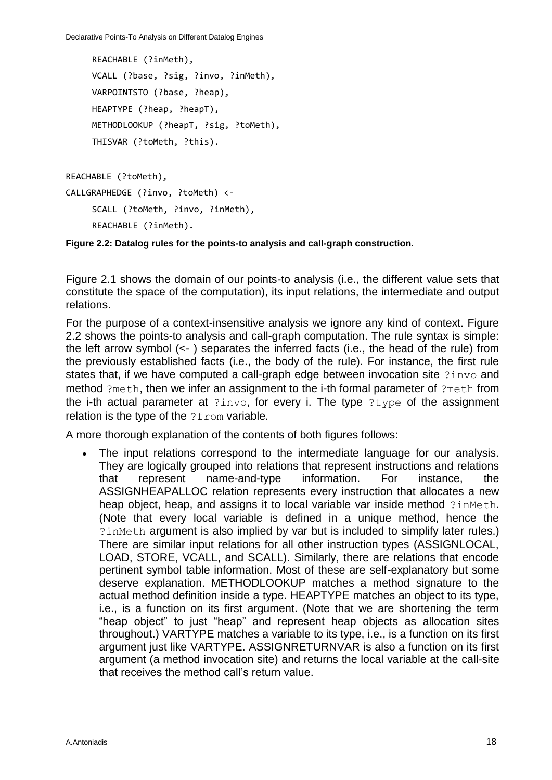Declarative Points-To Analysis on Different Datalog Engines

```
REACHABLE (?inMeth),
     VCALL (?base, ?sig, ?invo, ?inMeth), 
     VARPOINTSTO (?base, ?heap),
     HEAPTYPE (?heap, ?heapT), 
     METHODLOOKUP (?heapT, ?sig, ?toMeth),
     THISVAR (?toMeth, ?this).
REACHABLE (?toMeth),
CALLGRAPHEDGE (?invo, ?toMeth) <-
     SCALL (?toMeth, ?invo, ?inMeth), 
     REACHABLE (?inMeth).
```
**Figure 2.2: Datalog rules for the points-to analysis and call-graph construction.**

Figure 2.1 shows the domain of our points-to analysis (i.e., the different value sets that constitute the space of the computation), its input relations, the intermediate and output relations.

For the purpose of a context-insensitive analysis we ignore any kind of context. Figure 2.2 shows the points-to analysis and call-graph computation. The rule syntax is simple: the left arrow symbol (<- ) separates the inferred facts (i.e., the head of the rule) from the previously established facts (i.e., the body of the rule). For instance, the first rule states that, if we have computed a call-graph edge between invocation site  $?inv\circ$  and method ?meth, then we infer an assignment to the i-th formal parameter of ?meth from the i-th actual parameter at ?invo, for every i. The type ?type of the assignment relation is the type of the ?from variable.

A more thorough explanation of the contents of both figures follows:

 The input relations correspond to the intermediate language for our analysis. They are logically grouped into relations that represent instructions and relations that represent name-and-type information. For instance, the ASSIGNHEAPALLOC relation represents every instruction that allocates a new heap object, heap, and assigns it to local variable var inside method ?inMeth. (Note that every local variable is defined in a unique method, hence the ?inMeth argument is also implied by var but is included to simplify later rules.) There are similar input relations for all other instruction types (ASSIGNLOCAL, LOAD, STORE, VCALL, and SCALL). Similarly, there are relations that encode pertinent symbol table information. Most of these are self-explanatory but some deserve explanation. METHODLOOKUP matches a method signature to the actual method definition inside a type. HEAPTYPE matches an object to its type, i.e., is a function on its first argument. (Note that we are shortening the term "heap object" to just "heap" and represent heap objects as allocation sites throughout.) VARTYPE matches a variable to its type, i.e., is a function on its first argument just like VARTYPE. ASSIGNRETURNVAR is also a function on its first argument (a method invocation site) and returns the local variable at the call-site that receives the method call's return value.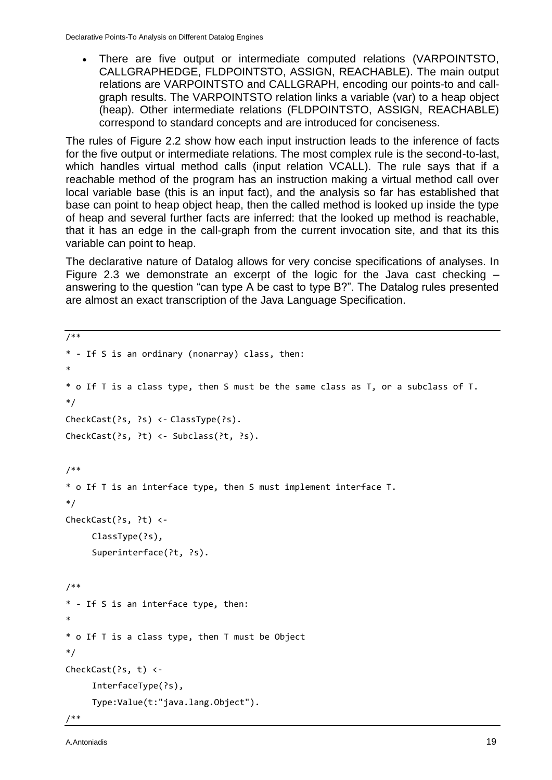There are five output or intermediate computed relations (VARPOINTSTO, CALLGRAPHEDGE, FLDPOINTSTO, ASSIGN, REACHABLE). The main output relations are VARPOINTSTO and CALLGRAPH, encoding our points-to and callgraph results. The VARPOINTSTO relation links a variable (var) to a heap object (heap). Other intermediate relations (FLDPOINTSTO, ASSIGN, REACHABLE) correspond to standard concepts and are introduced for conciseness.

The rules of Figure 2.2 show how each input instruction leads to the inference of facts for the five output or intermediate relations. The most complex rule is the second-to-last, which handles virtual method calls (input relation VCALL). The rule says that if a reachable method of the program has an instruction making a virtual method call over local variable base (this is an input fact), and the analysis so far has established that base can point to heap object heap, then the called method is looked up inside the type of heap and several further facts are inferred: that the looked up method is reachable, that it has an edge in the call-graph from the current invocation site, and that its this variable can point to heap.

The declarative nature of Datalog allows for very concise specifications of analyses. In Figure 2.3 we demonstrate an excerpt of the logic for the Java cast checking – answering to the question "can type A be cast to type B?". The Datalog rules presented are almost an exact transcription of the Java Language Specification.

```
/**
* - If S is an ordinary (nonarray) class, then:
*
* o If T is a class type, then S must be the same class as T, or a subclass of T.
*/
CheckCast(?s, ?s) <- ClassType(?s).
CheckCast(?s, ?t) <- Subclass(?t, ?s).
/**
* o If T is an interface type, then S must implement interface T. 
*/
CheckCast(?s, ?t) <-
     ClassType(?s),
     Superinterface(?t, ?s).
/**
* - If S is an interface type, then:
*
* o If T is a class type, then T must be Object
*/
CheckCast(?s, t) <-
     InterfaceType(?s),
     Type:Value(t:"java.lang.Object").
```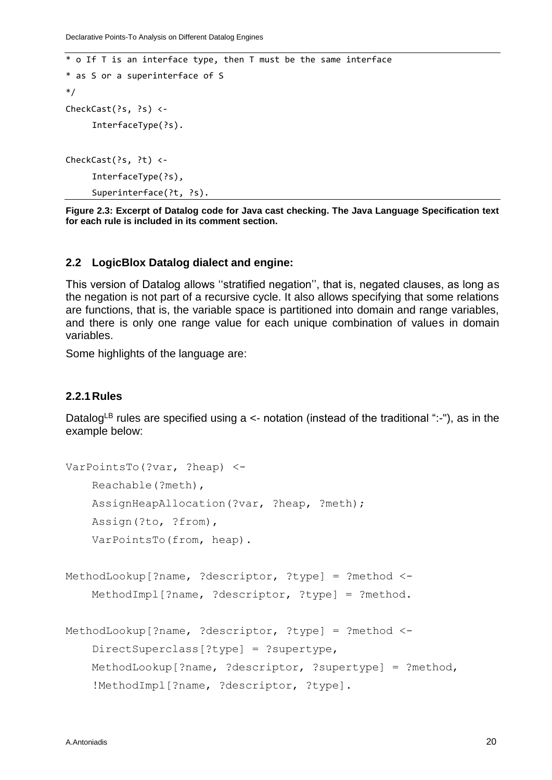```
* o If T is an interface type, then T must be the same interface 
* as S or a superinterface of S
*/
CheckCast(?s, ?s) <-
     InterfaceType(?s).
CheckCast(?s, ?t) <-
     InterfaceType(?s),
     Superinterface(?t, ?s).
```
**Figure 2.3: Excerpt of Datalog code for Java cast checking. The Java Language Specification text for each rule is included in its comment section.**

#### <span id="page-19-0"></span>**2.2 LogicBlox Datalog dialect and engine:**

This version of Datalog allows ''stratified negation'', that is, negated clauses, as long as the negation is not part of a recursive cycle. It also allows specifying that some relations are functions, that is, the variable space is partitioned into domain and range variables, and there is only one range value for each unique combination of values in domain variables.

Some highlights of the language are:

#### <span id="page-19-1"></span>**2.2.1Rules**

Datalog<sup>LB</sup> rules are specified using a  $\leq$ - notation (instead of the traditional ":-"), as in the example below:

```
VarPointsTo(?var, ?heap) <-
    Reachable(?meth), 
    AssignHeapAllocation(?var, ?heap, ?meth);
    Assign(?to, ?from), 
    VarPointsTo(from, heap).
MethodLookup[?name, ?descriptor, ?type] = ?method <-
    MethodImpl[?name, ?descriptor, ?type] = ?method.
MethodLookup[?name, ?descriptor, ?type] = ?method <-
    DirectSuperclass[?type] = ?supertype,
    MethodLookup[?name, ?descriptor, ?supertype] = ?method,
    !MethodImpl[?name, ?descriptor, ?type].
```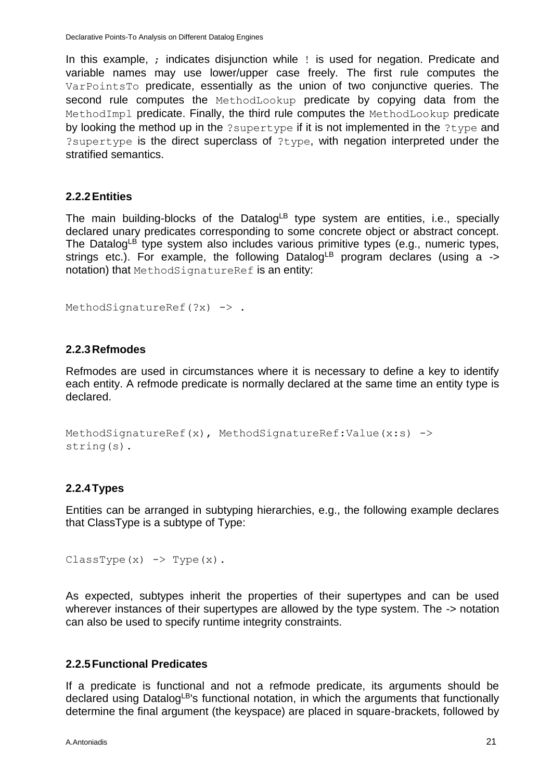In this example, ; indicates disjunction while ! is used for negation. Predicate and variable names may use lower/upper case freely. The first rule computes the VarPointsTo predicate, essentially as the union of two conjunctive queries. The second rule computes the MethodLookup predicate by copying data from the MethodImpl predicate. Finally, the third rule computes the MethodLookup predicate by looking the method up in the ?supertype if it is not implemented in the ?type and ?supertype is the direct superclass of ?type, with negation interpreted under the stratified semantics.

#### <span id="page-20-0"></span>**2.2.2Entities**

The main building-blocks of the Datalog<sup>LB</sup> type system are entities, i.e., specially declared unary predicates corresponding to some concrete object or abstract concept. The Datalog<sup>LB</sup> type system also includes various primitive types (e.g., numeric types, strings etc.). For example, the following Datalog<sup>LB</sup> program declares (using a  $\rightarrow$ notation) that MethodSignatureRef is an entity:

```
MethodSignatureRef(?x) -> .
```
#### <span id="page-20-1"></span>**2.2.3Refmodes**

Refmodes are used in circumstances where it is necessary to define a key to identify each entity. A refmode predicate is normally declared at the same time an entity type is declared.

```
MethodSignatureRef(x), MethodSignatureRef:Value(x:s) \rightarrowstring(s).
```
### <span id="page-20-2"></span>**2.2.4Types**

Entities can be arranged in subtyping hierarchies, e.g., the following example declares that ClassType is a subtype of Type:

ClassType $(x)$  -> Type $(x)$ .

As expected, subtypes inherit the properties of their supertypes and can be used wherever instances of their supertypes are allowed by the type system. The  $\rightarrow$  notation can also be used to specify runtime integrity constraints.

#### <span id="page-20-3"></span>**2.2.5Functional Predicates**

If a predicate is functional and not a refmode predicate, its arguments should be declared using Datalog<sup>LB'</sup>s functional notation, in which the arguments that functionally determine the final argument (the keyspace) are placed in square-brackets, followed by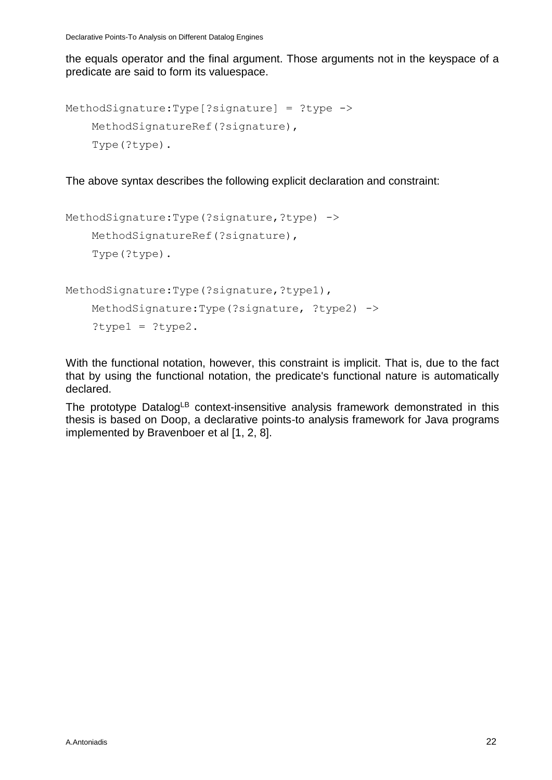Declarative Points-To Analysis on Different Datalog Engines

the equals operator and the final argument. Those arguments not in the keyspace of a predicate are said to form its valuespace.

```
MethodSignature:Type[?signature] = ?type ->
    MethodSignatureRef(?signature),
    Type(?type).
```
The above syntax describes the following explicit declaration and constraint:

```
MethodSignature:Type(?signature,?type) -> 
    MethodSignatureRef(?signature),
    Type(?type).
```

```
MethodSignature:Type(?signature,?type1), 
    MethodSignature:Type(?signature, ?type2) ->
    ?type1 = ?type2.
```
With the functional notation, however, this constraint is implicit. That is, due to the fact that by using the functional notation, the predicate's functional nature is automatically declared.

The prototype Datalog<sup>LB</sup> context-insensitive analysis framework demonstrated in this thesis is based on Doop, a declarative points-to analysis framework for Java programs implemented by Bravenboer et al [1, 2, 8].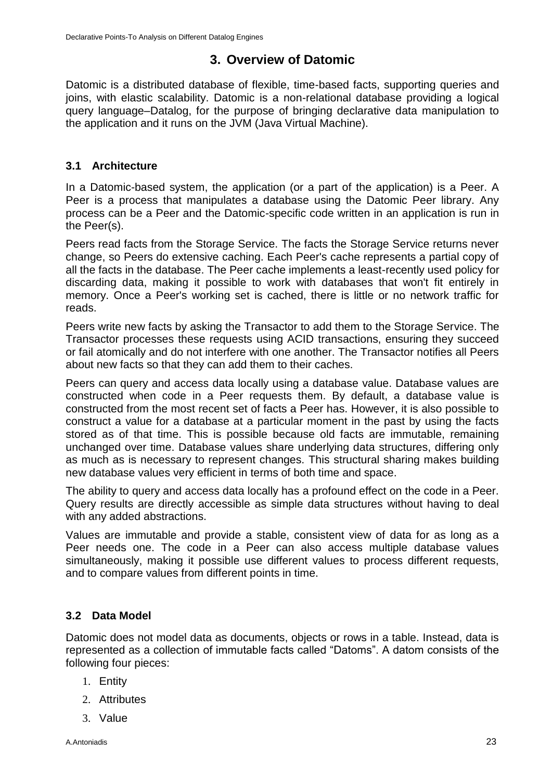## **3. Overview of Datomic**

<span id="page-22-0"></span>Datomic is a distributed database of flexible, time-based facts, supporting queries and joins, with elastic scalability. Datomic is a non-relational database providing a logical query language–Datalog, for the purpose of bringing declarative data manipulation to the application and it runs on the JVM (Java Virtual Machine).

## <span id="page-22-1"></span>**3.1 Architecture**

In a Datomic-based system, the application (or a part of the application) is a Peer. A Peer is a process that manipulates a database using the Datomic Peer library. Any process can be a Peer and the Datomic-specific code written in an application is run in the Peer(s).

Peers read facts from the Storage Service. The facts the Storage Service returns never change, so Peers do extensive caching. Each Peer's cache represents a partial copy of all the facts in the database. The Peer cache implements a least-recently used policy for discarding data, making it possible to work with databases that won't fit entirely in memory. Once a Peer's working set is cached, there is little or no network traffic for reads.

Peers write new facts by asking the Transactor to add them to the Storage Service. The Transactor processes these requests using ACID transactions, ensuring they succeed or fail atomically and do not interfere with one another. The Transactor notifies all Peers about new facts so that they can add them to their caches.

Peers can query and access data locally using a database value. Database values are constructed when code in a Peer requests them. By default, a database value is constructed from the most recent set of facts a Peer has. However, it is also possible to construct a value for a database at a particular moment in the past by using the facts stored as of that time. This is possible because old facts are immutable, remaining unchanged over time. Database values share underlying data structures, differing only as much as is necessary to represent changes. This structural sharing makes building new database values very efficient in terms of both time and space.

The ability to query and access data locally has a profound effect on the code in a Peer. Query results are directly accessible as simple data structures without having to deal with any added abstractions.

Values are immutable and provide a stable, consistent view of data for as long as a Peer needs one. The code in a Peer can also access multiple database values simultaneously, making it possible use different values to process different requests, and to compare values from different points in time.

## <span id="page-22-2"></span>**3.2 Data Model**

Datomic does not model data as documents, objects or rows in a table. Instead, data is represented as a collection of immutable facts called "Datoms". A datom consists of the following four pieces:

- 1. Entity
- 2. Attributes
- 3. Value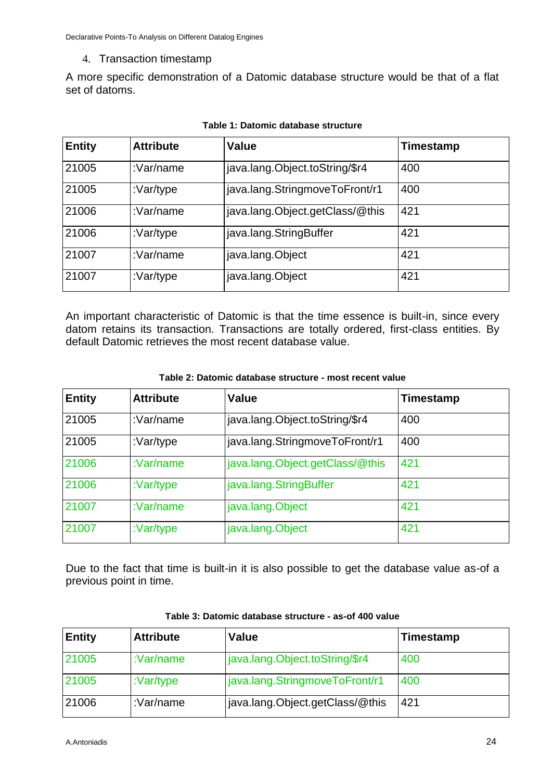#### 4. Transaction timestamp

A more specific demonstration of a Datomic database structure would be that of a flat set of datoms.

| <b>Entity</b> | <b>Attribute</b> | Value                           | Timestamp |
|---------------|------------------|---------------------------------|-----------|
| 21005         | :Var/name        | java.lang.Object.toString/\$r4  | 400       |
| 21005         | :Var/type        | java.lang.StringmoveToFront/r1  | 400       |
| 21006         | :Var/name        | java.lang.Object.getClass/@this | 421       |
| 21006         | :Var/type        | java.lang.StringBuffer          | 421       |
| 21007         | :Var/name        | java.lang.Object                | 421       |
| 21007         | :Var/type        | java.lang.Object                | 421       |

#### **Table 1: Datomic database structure**

An important characteristic of Datomic is that the time essence is built-in, since every datom retains its transaction. Transactions are totally ordered, first-class entities. By default Datomic retrieves the most recent database value.

#### **Table 2: Datomic database structure - most recent value**

| <b>Entity</b> | <b>Attribute</b> | <b>Value</b>                    | Timestamp |
|---------------|------------------|---------------------------------|-----------|
| 21005         | :Var/name        | java.lang.Object.toString/\$r4  | 400       |
| 21005         | :Var/type        | java.lang.StringmoveToFront/r1  | 400       |
| 21006         | :Var/name        | java.lang.Object.getClass/@this | 421       |
| 21006         | : $Var/type$     | java.lang.StringBuffer          | 421       |
| 21007         | : $Var/name$     | java.lang.Object                | 421       |
| 21007         | :Var/type        | java.lang.Object                | 421       |

Due to the fact that time is built-in it is also possible to get the database value as-of a previous point in time.

| <b>Entity</b> | <b>Attribute</b> | <b>Value</b>                    | Timestamp |
|---------------|------------------|---------------------------------|-----------|
| 21005         | : $Var/name$     | java.lang.Object.toString/\$r4  | 400       |
| 21005         | : $Var/type$     | java.lang.StringmoveToFront/r1  | 400       |
| 21006         | :Var/name        | java.lang.Object.getClass/@this | 421       |

#### **Table 3: Datomic database structure - as-of 400 value**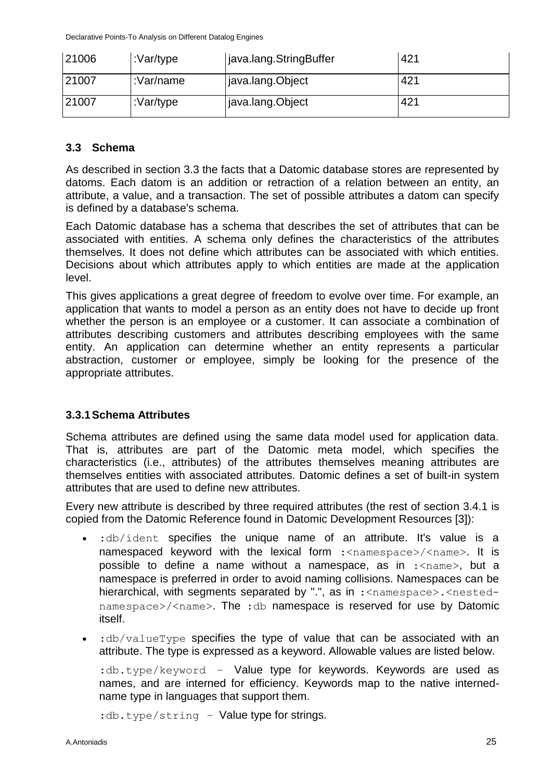| 21006 | :Var/type | java.lang.StringBuffer | 421 |
|-------|-----------|------------------------|-----|
| 21007 | :Var/name | java.lang.Object       | 421 |
| 21007 | :Var/type | java.lang.Object       | 421 |

#### <span id="page-24-0"></span>**3.3 Schema**

As described in section 3.3 the facts that a Datomic database stores are represented by datoms. Each datom is an addition or retraction of a relation between an entity, an attribute, a value, and a transaction. The set of possible attributes a datom can specify is defined by a database's schema.

Each Datomic database has a schema that describes the set of attributes that can be associated with entities. A schema only defines the characteristics of the attributes themselves. It does not define which attributes can be associated with which entities. Decisions about which attributes apply to which entities are made at the application level.

This gives applications a great degree of freedom to evolve over time. For example, an application that wants to model a person as an entity does not have to decide up front whether the person is an employee or a customer. It can associate a combination of attributes describing customers and attributes describing employees with the same entity. An application can determine whether an entity represents a particular abstraction, customer or employee, simply be looking for the presence of the appropriate attributes.

#### <span id="page-24-1"></span>**3.3.1Schema Attributes**

Schema attributes are defined using the same data model used for application data. That is, attributes are part of the Datomic meta model, which specifies the characteristics (i.e., attributes) of the attributes themselves meaning attributes are themselves entities with associated attributes. Datomic defines a set of built-in system attributes that are used to define new attributes.

Every new attribute is described by three required attributes (the rest of section 3.4.1 is copied from the Datomic Reference found in Datomic Development Resources [3]):

- :db/ident specifies the unique name of an attribute. It's value is a namespaced keyword with the lexical form : <namespace>/<name>. It is possible to define a name without a namespace, as in :<name>, but a namespace is preferred in order to avoid naming collisions. Namespaces can be hierarchical, with segments separated by ".", as in :<namespace>.<nestednamespace>/<name>. The :db namespace is reserved for use by Datomic itself.
- $\cdot$  :db/valueType specifies the type of value that can be associated with an attribute. The type is expressed as a keyword. Allowable values are listed below.

:db.type/keyword – Value type for keywords. Keywords are used as names, and are interned for efficiency. Keywords map to the native internedname type in languages that support them.

:db.type/string *–* Value type for strings.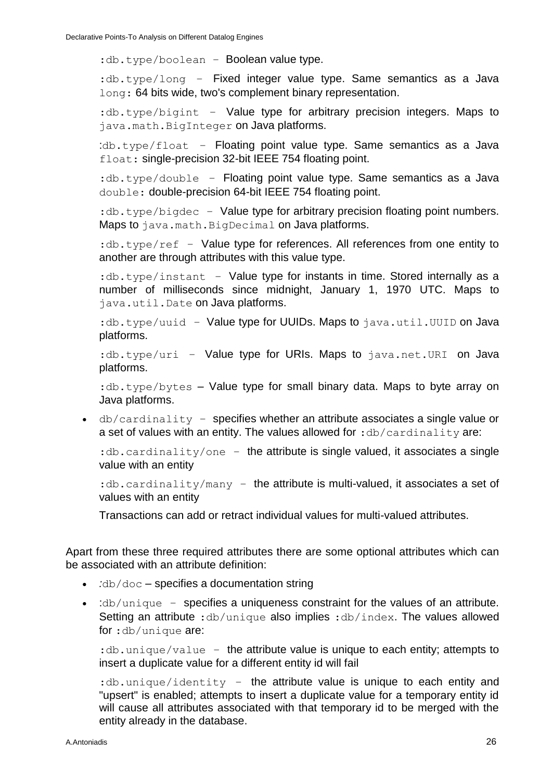:db.type/boolean - Boolean value type.

:db.type/long – Fixed integer value type. Same semantics as a Java long: 64 bits wide, two's complement binary representation.

:db.type/bigint - Value type for arbitrary precision integers. Maps to java.math.BigInteger on Java platforms.

:db.type/float *–* Floating point value type. Same semantics as a Java float: single-precision 32-bit IEEE 754 floating point.

:db.type/double *–* Floating point value type. Same semantics as a Java double: double-precision 64-bit IEEE 754 floating point.

: db.type/bigdec - Value type for arbitrary precision floating point numbers. Maps to java.math.BigDecimal on Java platforms.

: db.type/ref - Value type for references. All references from one entity to another are through attributes with this value type.

:db.type/instant *–* Value type for instants in time. Stored internally as a number of milliseconds since midnight, January 1, 1970 UTC. Maps to java.util.Date on Java platforms.

:db.type/uuid - Value type for UUIDs. Maps to java.util.UUID on Java platforms.

:db.type/uri – Value type for URIs. Maps to java.net.URI on Java platforms.

:db.type/bytes *–* Value type for small binary data. Maps to byte array on Java platforms.

 db/cardinality – specifies whether an attribute associates a single value or a set of values with an entity. The values allowed for  $:$ db/cardinality are:

:db.cardinality/one – the attribute is single valued, it associates a single value with an entity

:db.cardinality/many - the attribute is multi-valued, it associates a set of values with an entity

Transactions can add or retract individual values for multi-valued attributes.

Apart from these three required attributes there are some optional attributes which can be associated with an attribute definition:

- *:*db/doc *–* specifies a documentation string
- :db/unique specifies a uniqueness constraint for the values of an attribute. Setting an attribute : db/unique also implies : db/index. The values allowed for :db/unique are:

: db.unique/value - the attribute value is unique to each entity; attempts to insert a duplicate value for a different entity id will fail

:db.unique/identity – the attribute value is unique to each entity and "upsert" is enabled; attempts to insert a duplicate value for a temporary entity id will cause all attributes associated with that temporary id to be merged with the entity already in the database.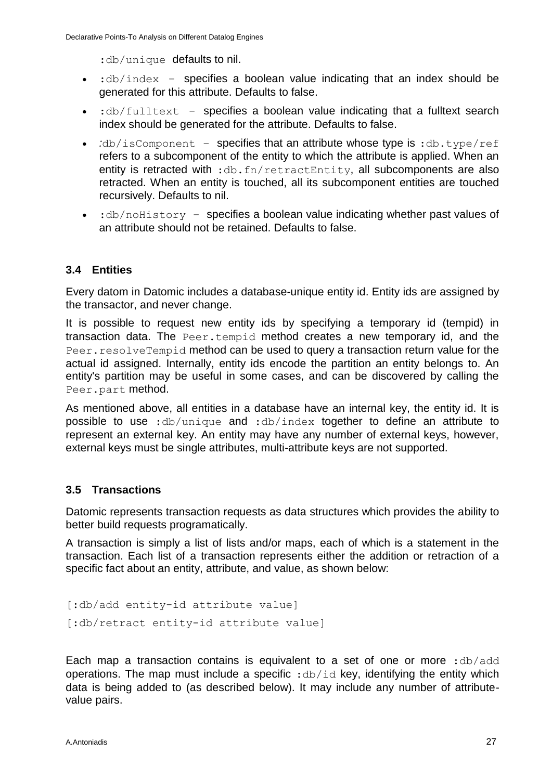: db/unique defaults to nil.

- $\bullet$  : db/index specifies a boolean value indicating that an index should be generated for this attribute. Defaults to false.
- :db/fulltext *–* specifies a boolean value indicating that a fulltext search index should be generated for the attribute. Defaults to false.
- *:*db/isComponent specifies that an attribute whose type is :db.type/ref refers to a subcomponent of the entity to which the attribute is applied. When an entity is retracted with : db.fn/retractEntity, all subcomponents are also retracted. When an entity is touched, all its subcomponent entities are touched recursively. Defaults to nil.
- $\cdot$  :db/noHistory specifies a boolean value indicating whether past values of an attribute should not be retained. Defaults to false.

### <span id="page-26-0"></span>**3.4 Entities**

Every datom in Datomic includes a database-unique entity id. Entity ids are assigned by the transactor, and never change.

It is possible to request new entity ids by specifying a temporary id (tempid) in transaction data. The [Peer.tempid](http://docs.datomic.com/javadoc/datomic/Peer.html#tempid(java.lang.Object)) method creates a new temporary id, and the [Peer.resolveTempid](http://docs.datomic.com/javadoc/datomic/Peer.html#resolveTempid(datomic.Database,%20java.lang.Object,%20java.lang.Object)) method can be used to query a transaction return value for the actual id assigned. Internally, entity ids encode the partition an entity belongs to. An entity's partition may be useful in some cases, and can be discovered by calling the [Peer.part](http://docs.datomic.com/javadoc/datomic/Peer.html#part(java.lang.Object)) method.

As mentioned above, all entities in a database have an internal key, the entity id. It is possible to use :db/unique and :db/index together to define an attribute to represent an external key. An entity may have any number of external keys, however, external keys must be single attributes, multi-attribute keys are not supported.

### <span id="page-26-1"></span>**3.5 Transactions**

Datomic represents transaction requests as data structures which provides the ability to better build requests programatically.

A transaction is simply a list of lists and/or maps, each of which is a statement in the transaction. Each list of a transaction represents either the addition or retraction of a specific fact about an entity, attribute, and value, as shown below:

```
[:db/add entity-id attribute value]
[:db/retract entity-id attribute value]
```
Each map a transaction contains is equivalent to a set of one or more : db/add operations. The map must include a specific :  $db/id$  key, identifying the entity which data is being added to (as described below). It may include any number of attributevalue pairs.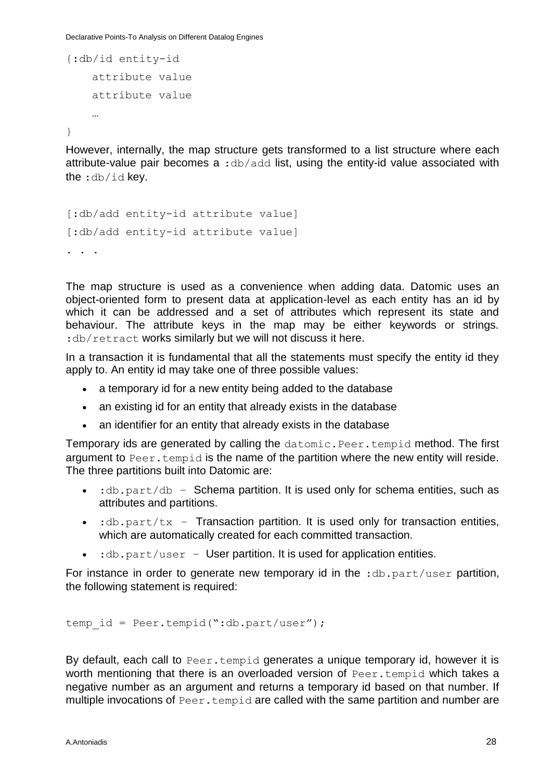Declarative Points-To Analysis on Different Datalog Engines

```
{:db/id entity-id
    attribute value
    attribute value
    …
```
}

However, internally, the map structure gets transformed to a list structure where each attribute-value pair becomes a :db/add list, using the entity-id value associated with the :db/id key.

```
[:db/add entity-id attribute value]
[:db/add entity-id attribute value]
. . .
```
The map structure is used as a convenience when adding data. Datomic uses an object-oriented form to present data at application-level as each entity has an id by which it can be addressed and a set of attributes which represent its state and behaviour. The attribute keys in the map may be either keywords or strings. :db/retract works similarly but we will not discuss it here.

In a transaction it is fundamental that all the statements must specify the entity id they apply to. An entity id may take one of three possible values:

- a temporary id for a new entity being added to the database
- an existing id for an entity that already exists in the database
- an identifier for an entity that already exists in the database

Temporary ids are generated by calling the datomic.Peer.tempid method. The first argument to Peer.tempid is the name of the partition where the new entity will reside. The three partitions built into Datomic are:

- $\bullet$  : db.part/db Schema partition. It is used only for schema entities, such as attributes and partitions.
- $\cdot$  :db.part/tx Transaction partition. It is used only for transaction entities, which are automatically created for each committed transaction.
- $\bullet$  : db.part/user User partition. It is used for application entities.

For instance in order to generate new temporary id in the  $:$ db.part/user partition, the following statement is required:

temp id = Peer.tempid(":db.part/user");

By default, each call to Peer.tempid generates a unique temporary id, however it is worth mentioning that there is an overloaded version of Peer.tempid which takes a negative number as an argument and returns a temporary id based on that number. If multiple invocations of Peer.tempid are called with the same partition and number are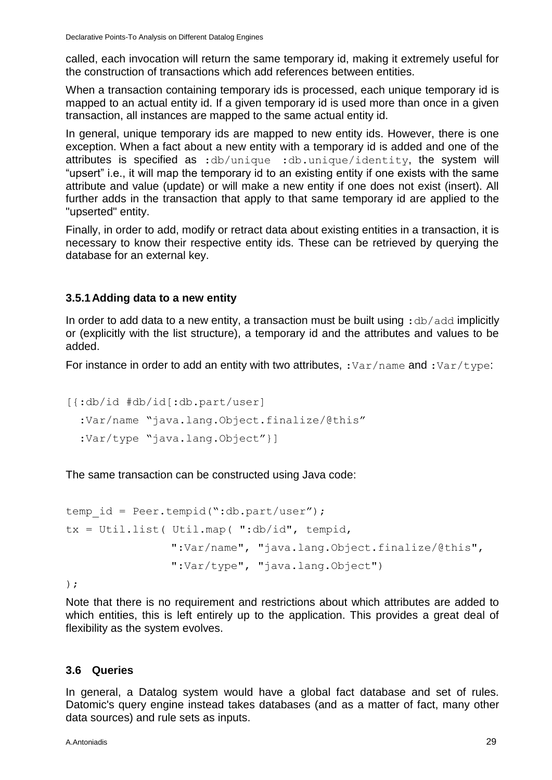called, each invocation will return the same temporary id, making it extremely useful for the construction of transactions which add references between entities.

When a transaction containing temporary ids is processed, each unique temporary id is mapped to an actual entity id. If a given temporary id is used more than once in a given transaction, all instances are mapped to the same actual entity id.

In general, unique temporary ids are mapped to new entity ids. However, there is one exception. When a fact about a new entity with a temporary id is added and one of the attributes is specified as :db/unique :db.unique/identity, the system will "upsert" i.e., it will map the temporary id to an existing entity if one exists with the same attribute and value (update) or will make a new entity if one does not exist (insert). All further adds in the transaction that apply to that same temporary id are applied to the "upserted" entity.

Finally, in order to add, modify or retract data about existing entities in a transaction, it is necessary to know their respective entity ids. These can be retrieved by querying the database for an external key.

#### <span id="page-28-0"></span>**3.5.1Adding data to a new entity**

In order to add data to a new entity, a transaction must be built using : db/add implicitly or (explicitly with the list structure), a temporary id and the attributes and values to be added.

For instance in order to add an entity with two attributes, : $Var/name$  and : $Var/type$ :

```
[{:db/id #db/id[:db.part/user]
   :Var/name "java.lang.Object.finalize/@this"
   :Var/type "java.lang.Object"}]
```
The same transaction can be constructed using Java code:

```
temp id = Peer.tempid(":db.part/user");
tx = Util.list(Util.map('T:db/id", tempid,":Var/name", "java.lang.Object.finalize/@this",
               ":Var/type", "java.lang.Object")
```
);

Note that there is no requirement and restrictions about which attributes are added to which entities, this is left entirely up to the application. This provides a great deal of flexibility as the system evolves.

#### <span id="page-28-1"></span>**3.6 Queries**

In general, a Datalog system would have a global fact database and set of rules. Datomic's query engine instead takes databases (and as a matter of fact, many other data sources) and rule sets as inputs.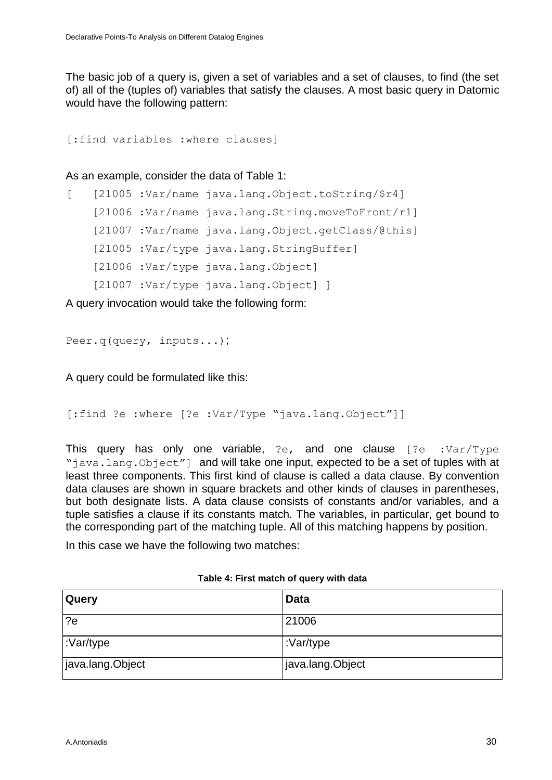The basic job of a query is, given a set of variables and a set of clauses, to find (the set of) all of the (tuples of) variables that satisfy the clauses. A most basic query in Datomic would have the following pattern:

```
[:find variables :where clauses]
```
As an example, consider the data of Table 1:

```
[ [21005 :Var/name java.lang.Object.toString/$r4] 
    [21006 :Var/name java.lang.String.moveToFront/r1] 
    [21007 :Var/name java.lang.Object.getClass/@this]
    [21005 :Var/type java.lang.StringBuffer]
    [21006 :Var/type java.lang.Object] 
    [21007 :Var/type java.lang.Object] ]
```
A query invocation would take the following form:

```
Peer.q(query, inputs...);
```
A query could be formulated like this:

```
[:find ?e :where [?e :Var/Type "java.lang.Object"]]
```
This query has only one variable, ?e, and one clause [?e :Var/Type "java.lang.Object"] and will take one input, expected to be a set of tuples with at least three components. This first kind of clause is called a data clause. By convention data clauses are shown in square brackets and other kinds of clauses in parentheses, but both designate lists. A data clause consists of constants and/or variables, and a tuple satisfies a clause if its constants match. The variables, in particular, get bound to the corresponding part of the matching tuple. All of this matching happens by position.

In this case we have the following two matches:

| Table 4: First match of query with data |  |  |  |
|-----------------------------------------|--|--|--|
|                                         |  |  |  |

| <b>Query</b>     | <b>Data</b>      |
|------------------|------------------|
| $\overline{?e}$  | 21006            |
| :Var/type        | :Var/type        |
| java.lang.Object | java.lang.Object |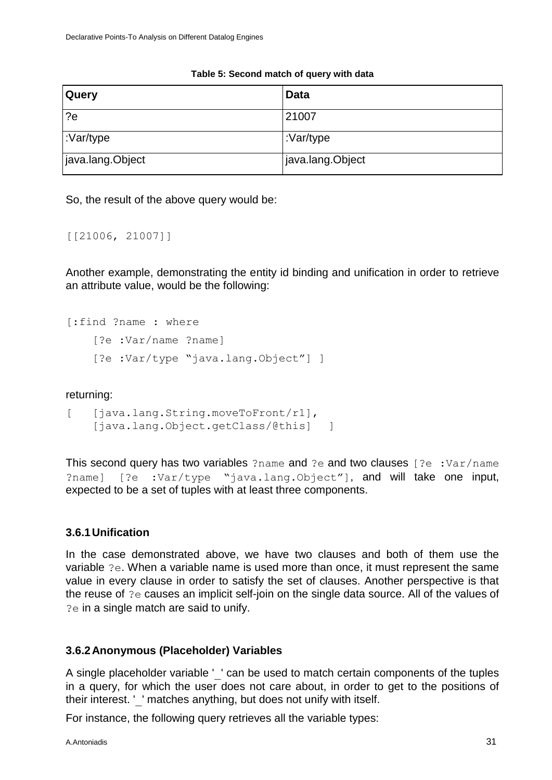| <b>Query</b>     | <b>Data</b>      |
|------------------|------------------|
| $\lceil$ ?e      | 21007            |
| :Var/type        | :Var/type        |
| java.lang.Object | java.lang.Object |

#### **Table 5: Second match of query with data**

So, the result of the above query would be:

[[21006, 21007]]

Another example, demonstrating the entity id binding and unification in order to retrieve an attribute value, would be the following:

```
[:find ?name : where 
    [?e :Var/name ?name]
    [?e :Var/type "java.lang.Object"] ]
```
#### returning:

```
[ [java.lang.String.moveToFront/r1],
   [java.lang.Object.getClass/@this] ]
```
This second query has two variables ?name and ?e and two clauses [?e :Var/name ?name] [?e :Var/type "java.lang.Object"], and will take one input, expected to be a set of tuples with at least three components.

#### <span id="page-30-0"></span>**3.6.1Unification**

In the case demonstrated above, we have two clauses and both of them use the variable ?e. When a variable name is used more than once, it must represent the same value in every clause in order to satisfy the set of clauses. Another perspective is that the reuse of ?e causes an implicit self-join on the single data source. All of the values of ?e in a single match are said to unify.

#### <span id="page-30-1"></span>**3.6.2Anonymous (Placeholder) Variables**

A single placeholder variable ' ' can be used to match certain components of the tuples in a query, for which the user does not care about, in order to get to the positions of their interest. '\_' matches anything, but does not unify with itself.

For instance, the following query retrieves all the variable types: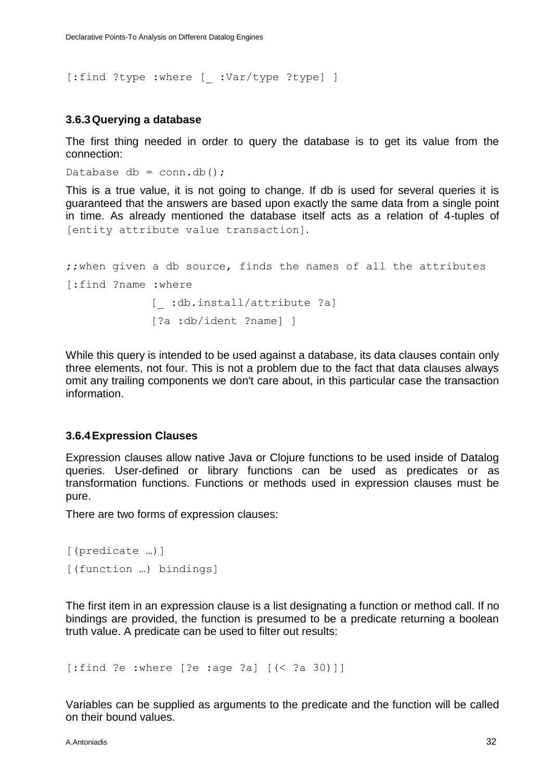[:find ?type :where [ :Var/type ?type] ]

#### <span id="page-31-0"></span>**3.6.3Querying a database**

The first thing needed in order to query the database is to get its value from the connection:

```
Database db = conn \cdot db();
```
This is a true value, it is not going to change. If db is used for several queries it is guaranteed that the answers are based upon exactly the same data from a single point in time. As already mentioned the database itself acts as a relation of 4-tuples of [entity attribute value transaction].

```
;;when given a db source, finds the names of all the attributes
[:find ?name :where 
            [ :db.install/attribute ?a]
             [?a :db/ident ?name] ]
```
While this query is intended to be used against a database, its data clauses contain only three elements, not four. This is not a problem due to the fact that data clauses always omit any trailing components we don't care about, in this particular case the transaction information.

#### <span id="page-31-1"></span>**3.6.4Expression Clauses**

Expression clauses allow native Java or Clojure functions to be used inside of Datalog queries. User-defined or library functions can be used as predicates or as transformation functions. Functions or methods used in expression clauses must be pure.

There are two forms of expression clauses:

```
[(predicate …)]
[(function …) bindings]
```
The first item in an expression clause is a list designating a function or method call. If no bindings are provided, the function is presumed to be a predicate returning a boolean truth value. A predicate can be used to filter out results:

```
[:find ?e :where [?e :age ?a] [(< ?a 30)]]
```
Variables can be supplied as arguments to the predicate and the function will be called on their bound values.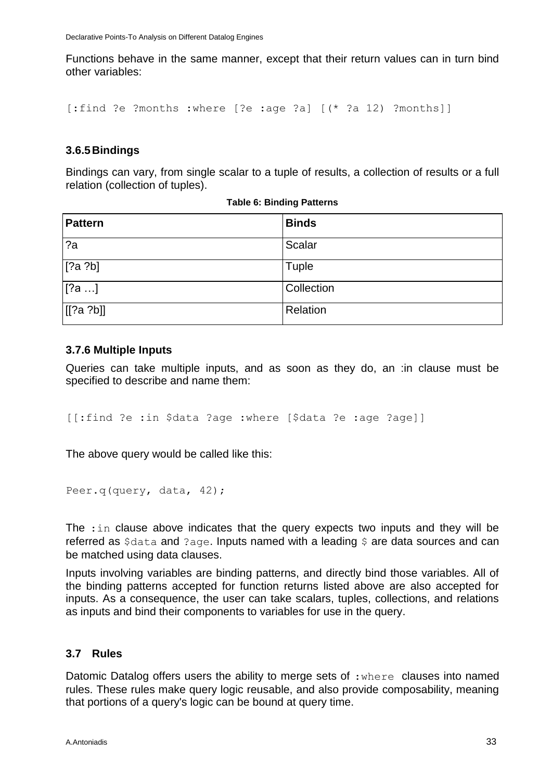Functions behave in the same manner, except that their return values can in turn bind other variables:

```
[:find ?e ?months :where [?e :age ?a] [(* ?a 12) ?months]]
```
#### <span id="page-32-0"></span>**3.6.5Bindings**

Bindings can vary, from single scalar to a tuple of results, a collection of results or a full relation (collection of tuples).

| <b>Pattern</b> | <b>Binds</b> |
|----------------|--------------|
| 2a             | Scalar       |
| [?a ?b]        | Tuple        |
| [?a]           | Collection   |
| [[?a ?b]]      | Relation     |

#### **Table 6: Binding Patterns**

#### **3.7.6 Multiple Inputs**

Queries can take multiple inputs, and as soon as they do, an :in clause must be specified to describe and name them:

[[:find ?e :in \$data ?age :where [\$data ?e :age ?age]]

The above query would be called like this:

```
Peer.q(query, data, 42);
```
The :in clause above indicates that the query expects two inputs and they will be referred as \$data and ?age. Inputs named with a leading \$ are data sources and can be matched using data clauses.

Inputs involving variables are binding patterns, and directly bind those variables. All of the binding patterns accepted for function returns listed above are also accepted for inputs. As a consequence, the user can take scalars, tuples, collections, and relations as inputs and bind their components to variables for use in the query.

#### <span id="page-32-1"></span>**3.7 Rules**

Datomic Datalog offers users the ability to merge sets of : where clauses into named rules. These rules make query logic reusable, and also provide composability, meaning that portions of a query's logic can be bound at query time.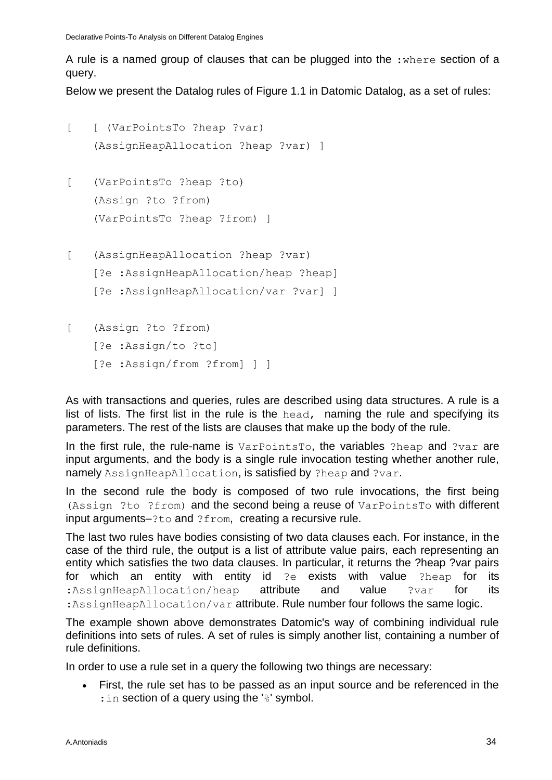A rule is a named group of clauses that can be plugged into the  $:$ where section of a query.

Below we present the Datalog rules of Figure 1.1 in Datomic Datalog, as a set of rules:

```
[ [ (VarPointsTo ?heap ?var)
    (AssignHeapAllocation ?heap ?var) ]
[ (VarPointsTo ?heap ?to)
    (Assign ?to ?from)
    (VarPointsTo ?heap ?from) ]
[ (AssignHeapAllocation ?heap ?var)
    [?e :AssignHeapAllocation/heap ?heap]
    [?e :AssignHeapAllocation/var ?var] ]
[ (Assign ?to ?from) 
    [?e :Assign/to ?to]
```
[?e :Assign/from ?from] ] ]

As with transactions and queries, rules are described using data structures. A rule is a list of lists. The first list in the rule is the head, naming the rule and specifying its parameters. The rest of the lists are clauses that make up the body of the rule.

In the first rule, the rule-name is VarPointsTo, the variables ?heap and ?var are input arguments, and the body is a single rule invocation testing whether another rule, namely AssignHeapAllocation, is satisfied by ?heap and ?var.

In the second rule the body is composed of two rule invocations, the first being (Assign ?to ?from) and the second being a reuse of VarPointsTo with different input arguments–?to and ?from, creating a recursive rule.

The last two rules have bodies consisting of two data clauses each. For instance, in the case of the third rule, the output is a list of attribute value pairs, each representing an entity which satisfies the two data clauses. In particular, it returns the ?heap ?var pairs for which an entity with entity id ?e exists with value ?heap for its :AssignHeapAllocation/heap attribute and value ?var for its : Assign HeapAllocation/var attribute. Rule number four follows the same logic.

The example shown above demonstrates Datomic's way of combining individual rule definitions into sets of rules. A set of rules is simply another list, containing a number of rule definitions.

In order to use a rule set in a query the following two things are necessary:

 First, the rule set has to be passed as an input source and be referenced in the : in section of a query using the '%' symbol.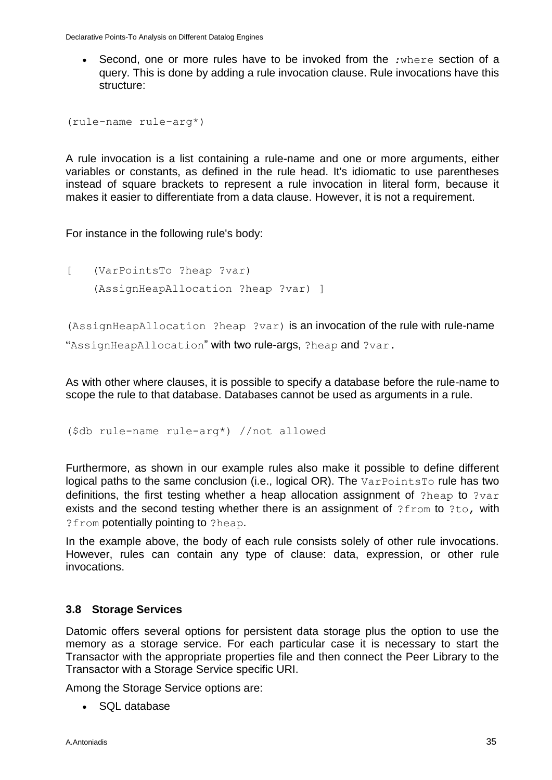Second, one or more rules have to be invoked from the *:*where section of a query. This is done by adding a rule invocation clause. Rule invocations have this structure:

```
(rule-name rule-arg*)
```
A rule invocation is a list containing a rule-name and one or more arguments, either variables or constants, as defined in the rule head. It's idiomatic to use parentheses instead of square brackets to represent a rule invocation in literal form, because it makes it easier to differentiate from a data clause. However, it is not a requirement.

For instance in the following rule's body:

[ (VarPointsTo ?heap ?var) (AssignHeapAllocation ?heap ?var) ]

(AssignHeapAllocation ?heap ?var) is an invocation of the rule with rule-name "AssignHeapAllocation" with two rule-args, ?heap and ?var.

As with other where clauses, it is possible to specify a database before the rule-name to scope the rule to that database. Databases cannot be used as arguments in a rule.

(\$db rule-name rule-arg\*) //not allowed

Furthermore, as shown in our example rules also make it possible to define different logical paths to the same conclusion (i.e., logical OR). The VarPointsTo rule has two definitions, the first testing whether a heap allocation assignment of ?heap to ?var exists and the second testing whether there is an assignment of ?from to ?to, with ?from potentially pointing to ?heap.

In the example above, the body of each rule consists solely of other rule invocations. However, rules can contain any type of clause: data, expression, or other rule invocations.

#### <span id="page-34-0"></span>**3.8 Storage Services**

Datomic offers several options for persistent data storage plus the option to use the memory as a storage service. For each particular case it is necessary to start the Transactor with the appropriate properties file and then connect the Peer Library to the Transactor with a Storage Service specific URI.

Among the Storage Service options are:

SQL database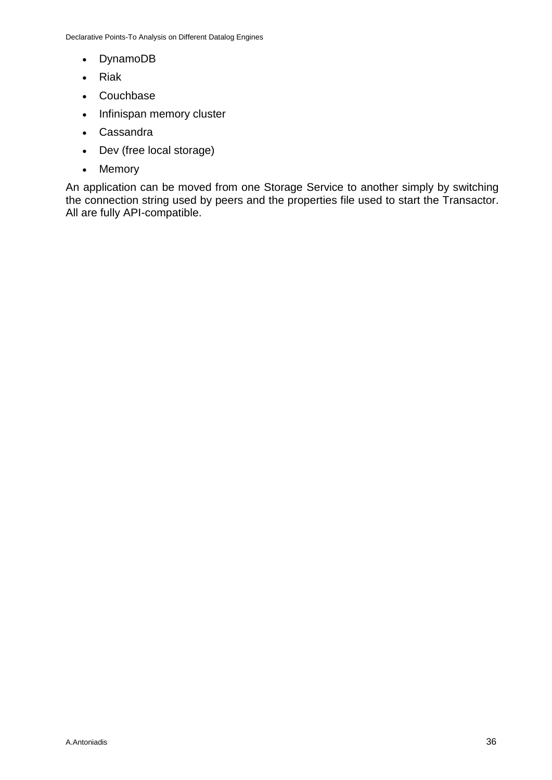- DynamoDB
- Riak
- Couchbase
- Infinispan memory cluster
- Cassandra
- Dev (free local storage)
- Memory

An application can be moved from one Storage Service to another simply by switching the connection string used by peers and the properties file used to start the Transactor. All are fully API-compatible.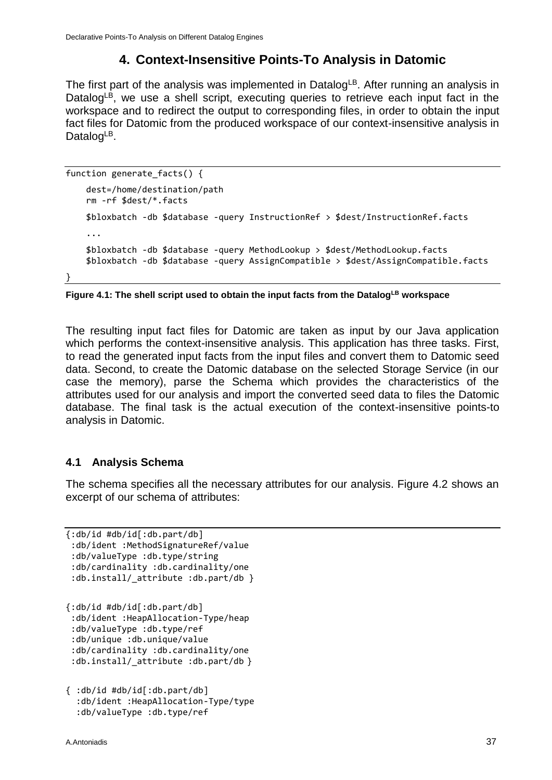## **4. Context-Insensitive Points-To Analysis in Datomic**

<span id="page-36-0"></span>The first part of the analysis was implemented in Datalog<sup>LB</sup>. After running an analysis in Datalog<sup>LB</sup>, we use a shell script, executing queries to retrieve each input fact in the workspace and to redirect the output to corresponding files, in order to obtain the input fact files for Datomic from the produced workspace of our context-insensitive analysis in Datalog $LB$ .

```
function generate_facts() { 
     dest=/home/destination/path
     rm -rf $dest/*.facts
     $bloxbatch -db $database -query InstructionRef > $dest/InstructionRef.facts
     ...
     $bloxbatch -db $database -query MethodLookup > $dest/MethodLookup.facts
     $bloxbatch -db $database -query AssignCompatible > $dest/AssignCompatible.facts
```
}

**Figure 4.1: The shell script used to obtain the input facts from the DatalogLB workspace**

The resulting input fact files for Datomic are taken as input by our Java application which performs the context-insensitive analysis. This application has three tasks. First, to read the generated input facts from the input files and convert them to Datomic seed data. Second, to create the Datomic database on the selected Storage Service (in our case the memory), parse the Schema which provides the characteristics of the attributes used for our analysis and import the converted seed data to files the Datomic database. The final task is the actual execution of the context-insensitive points-to analysis in Datomic.

### <span id="page-36-1"></span>**4.1 Analysis Schema**

The schema specifies all the necessary attributes for our analysis. Figure 4.2 shows an excerpt of our schema of attributes:

```
{:db/id #db/id[:db.part/db]
 :db/ident :MethodSignatureRef/value
 :db/valueType :db.type/string
 :db/cardinality :db.cardinality/one 
 :db.install/ attribute :db.part/db }
{:db/id #db/id[:db.part/db]
 :db/ident :HeapAllocation-Type/heap
 :db/valueType :db.type/ref
 :db/unique :db.unique/value
 :db/cardinality :db.cardinality/one
 :db.install/_attribute :db.part/db }
```

```
{ :db/id #db/id[:db.part/db]
   :db/ident :HeapAllocation-Type/type
   :db/valueType :db.type/ref
```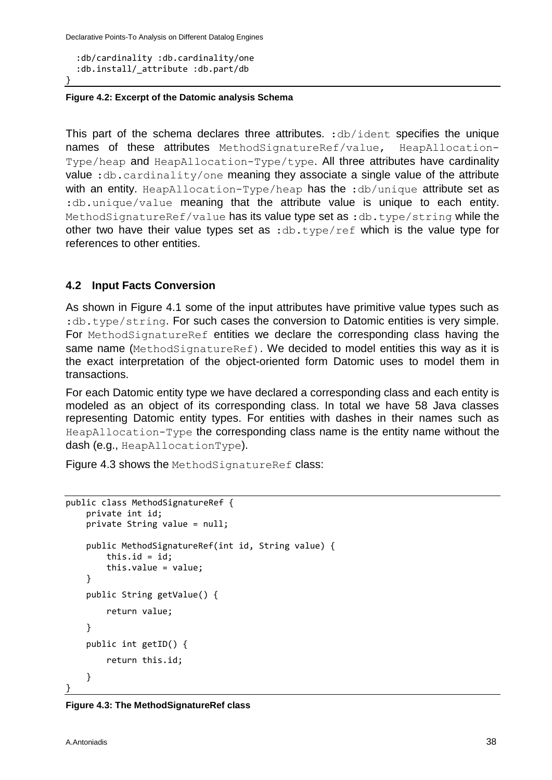Declarative Points-To Analysis on Different Datalog Engines

```
 :db/cardinality :db.cardinality/one
   :db.install/_attribute :db.part/db
}
```
#### **Figure 4.2: Excerpt of the Datomic analysis Schema**

This part of the schema declares three attributes. :db/ident specifies the unique names of these attributes MethodSignatureRef/value, HeapAllocation-Type/heap and HeapAllocation-Type/type. All three attributes have cardinality value : db.cardinality/one meaning they associate a single value of the attribute with an entity. HeapAllocation-Type/heap has the :db/unique attribute set as :db.unique/value meaning that the attribute value is unique to each entity. MethodSignatureRef/value has its value type set as :db.type/string while the other two have their value types set as :  $db.type/ref$  which is the value type for references to other entities.

#### <span id="page-37-0"></span>**4.2 Input Facts Conversion**

As shown in Figure 4.1 some of the input attributes have primitive value types such as : db.type/string. For such cases the conversion to Datomic entities is very simple. For MethodSignatureRef entities we declare the corresponding class having the same name (MethodSignatureRef). We decided to model entities this way as it is the exact interpretation of the object-oriented form Datomic uses to model them in transactions.

For each Datomic entity type we have declared a corresponding class and each entity is modeled as an object of its corresponding class. In total we have 58 Java classes representing Datomic entity types. For entities with dashes in their names such as HeapAllocation-Type the corresponding class name is the entity name without the dash (e.g., HeapAllocationType).

Figure 4.3 shows the MethodSignatureRef class:

```
public class MethodSignatureRef {
     private int id;
     private String value = null;
     public MethodSignatureRef(int id, String value) {
        this.id = id;
         this.value = value;
     }
     public String getValue() {
         return value;
     }
     public int getID() {
         return this.id;
     }
}
```

```
Figure 4.3: The MethodSignatureRef class
```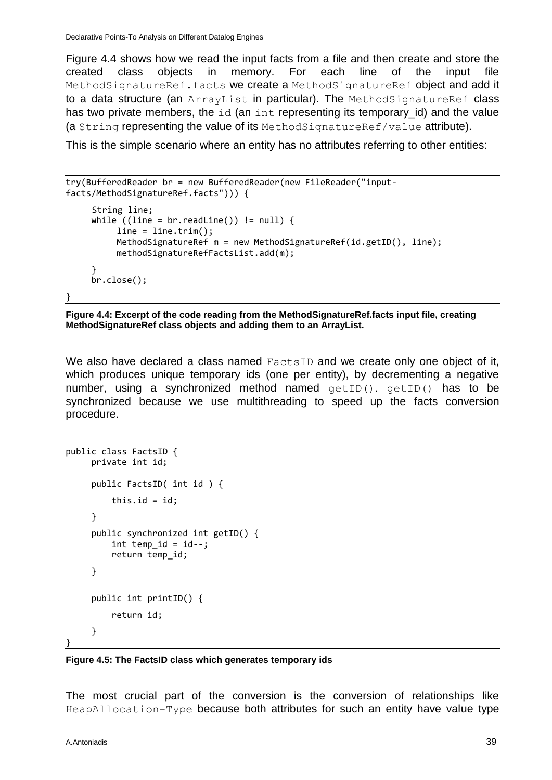Figure 4.4 shows how we read the input facts from a file and then create and store the created class objects in memory. For each line of the input file MethodSignatureRef.facts we create a MethodSignatureRef object and add it to a data structure (an ArrayList in particular). The MethodSignatureRef class has two private members, the id (an int representing its temporary id) and the value (a String representing the value of its MethodSignatureRef/value attribute).

This is the simple scenario where an entity has no attributes referring to other entities:

```
try(BufferedReader br = new BufferedReader(new FileReader("input-
facts/MethodSignatureRef.facts"))) { 
     String line;
     while ((line = br.readLine()) != null) {
          line = line.train(); MethodSignatureRef m = new MethodSignatureRef(id.getID(), line);
           methodSignatureRefFactsList.add(m);
      }
      br.close();
}
```
**Figure 4.4: Excerpt of the code reading from the MethodSignatureRef.facts input file, creating MethodSignatureRef class objects and adding them to an ArrayList.**

We also have declared a class named FactsID and we create only one object of it, which produces unique temporary ids (one per entity), by decrementing a negative number, using a synchronized method named  $getID()$ .  $getID()$  has to be synchronized because we use multithreading to speed up the facts conversion procedure.

```
public class FactsID {
      private int id;
      public FactsID( int id ) { 
         this.id = id;
      }
      public synchronized int getID() {
          int temp_id = id--; return temp_id; 
      }
      public int printID() { 
           return id; 
      }
}
```
**Figure 4.5: The FactsID class which generates temporary ids**

The most crucial part of the conversion is the conversion of relationships like HeapAllocation-Type because both attributes for such an entity have value type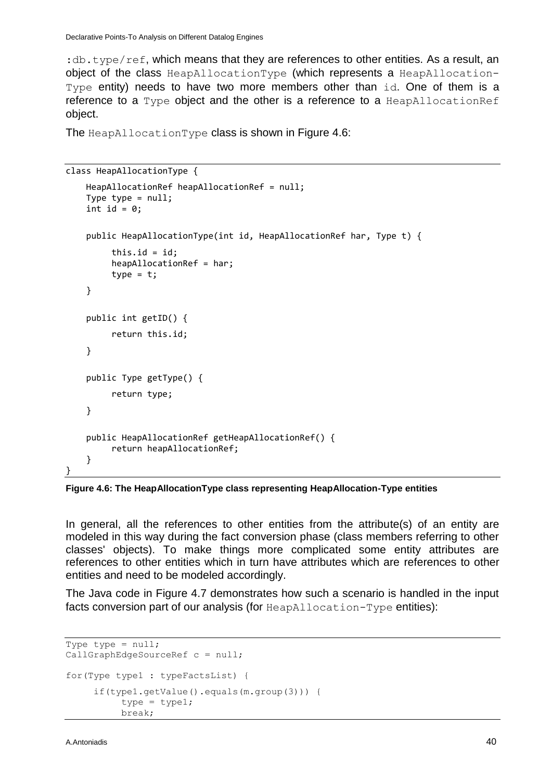:  $db.type/ref$ , which means that they are references to other entities. As a result, an object of the class HeapAllocationType (which represents a HeapAllocation-Type entity) needs to have two more members other than id. One of them is a reference to a Type object and the other is a reference to a HeapAllocationRef object.

The HeapAllocationType class is shown in Figure 4.6:

```
class HeapAllocationType {
     HeapAllocationRef heapAllocationRef = null;
    Type type = null;int id = 0;
     public HeapAllocationType(int id, HeapAllocationRef har, Type t) { 
          this.id = id:
          heapAllocationRef = har;
         type = t;
     } 
     public int getID() { 
          return this.id; 
     }
     public Type getType() { 
          return type; 
     }
     public HeapAllocationRef getHeapAllocationRef() {
          return heapAllocationRef;
     }
}
```
**Figure 4.6: The HeapAllocationType class representing HeapAllocation-Type entities**

In general, all the references to other entities from the attribute(s) of an entity are modeled in this way during the fact conversion phase (class members referring to other classes' objects). To make things more complicated some entity attributes are references to other entities which in turn have attributes which are references to other entities and need to be modeled accordingly.

The Java code in Figure 4.7 demonstrates how such a scenario is handled in the input facts conversion part of our analysis (for HeapAllocation-Type entities):

```
Type type = null;CallGraphEdgeSourceRef c = null;
for(Type type1 : typeFactsList) {
      if(type1.getValue().equals(m.group(3))) {
           type = type1;
           break;
```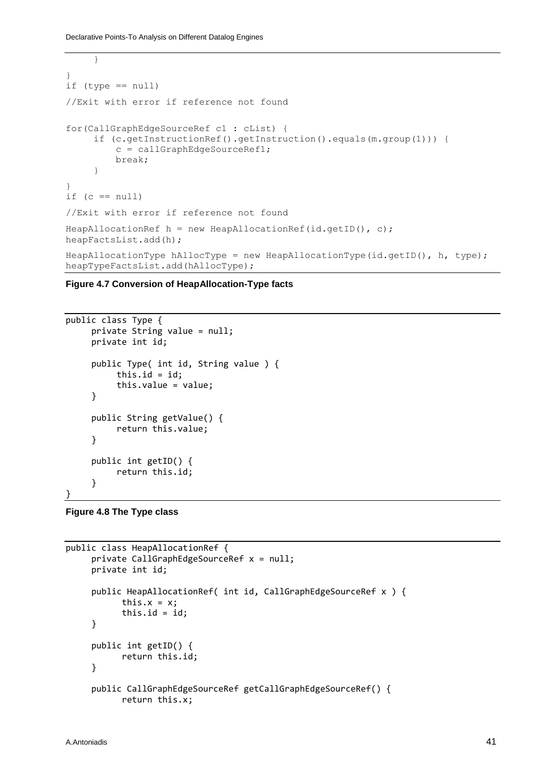```
 }
} 
if (type == null)
//Exit with error if reference not found 
for(CallGraphEdgeSourceRef c1 : cList) {
      if (c.getInstructionRef().getInstruction().equals(m.group(1))) {
          c = callGraphEdgeSourceRef1;
          break;
 }
} 
if (c == null)//Exit with error if reference not found
HeapAllocationRef h = new HeapAllocationRef(id.getID(), c);
heapFactsList.add(h);
HeapAllocationType hAllocType = new HeapAllocationType(id.getID(), h, type);
heapTypeFactsList.add(hAllocType);
```
**Figure 4.7 Conversion of HeapAllocation-Type facts**

```
public class Type {
      private String value = null;
      private int id;
      public Type( int id, String value ) {
           this.id = id;
            this.value = value;
      }
      public String getValue() {
            return this.value;
      }
      public int getID() {
            return this.id;
      }
}
```

```
Figure 4.8 The Type class
```

```
public class HeapAllocationRef {
      private CallGraphEdgeSourceRef x = null;
      private int id;
      public HeapAllocationRef( int id, CallGraphEdgeSourceRef x ) {
           this.x = x;this.id = id;
      }
      public int getID() { 
            return this.id;
      }
      public CallGraphEdgeSourceRef getCallGraphEdgeSourceRef() {
            return this.x;
```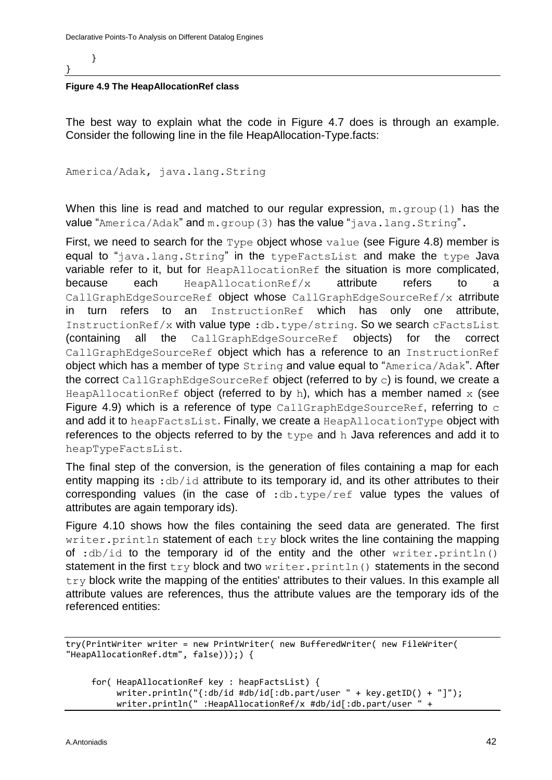}

}

#### **Figure 4.9 The HeapAllocationRef class**

The best way to explain what the code in Figure 4.7 does is through an example. Consider the following line in the file HeapAllocation-Type.facts:

America/Adak, java.lang.String

When this line is read and matched to our regular expression,  $m \cdot q \text{row}(1)$  has the value "America/Adak" and m.group(3) has the value "java.lang.String".

First, we need to search for the  $Type$  object whose  $value$  (see Figure 4.8) member is equal to "java.lang.String" in the type FactsList and make the type Java variable refer to it, but for HeapAllocationRef the situation is more complicated, because each  $HeapAllocationRef/x$  attribute refers to a CallGraphEdgeSourceRef object whose CallGraphEdgeSourceRef/x atrribute in turn refers to an InstructionRef which has only one attribute, InstructionRef/x with value type :db.type/string. So we search cFactsList (containing all the CallGraphEdgeSourceRef objects) for the correct CallGraphEdgeSourceRef object which has a reference to an InstructionRef object which has a member of type String and value equal to "America/Adak". After the correct CallGraphEdgeSourceRef object (referred to by c) is found, we create a HeapAllocationRef object (referred to by h), which has a member named  $x$  (see Figure 4.9) which is a reference of type CallGraphEdgeSourceRef, referring to c and add it to heapFactsList. Finally, we create a HeapAllocationType object with references to the objects referred to by the type and h Java references and add it to heapTypeFactsList.

The final step of the conversion, is the generation of files containing a map for each entity mapping its :  $db/id$  attribute to its temporary id, and its other attributes to their corresponding values (in the case of :db.type/ref value types the values of attributes are again temporary ids).

Figure 4.10 shows how the files containing the seed data are generated. The first writer.println statement of each try block writes the line containing the mapping of :db/id to the temporary id of the entity and the other writer.println() statement in the first  $try$  block and two  $writer.println()$  statements in the second  $try$  block write the mapping of the entities' attributes to their values. In this example all attribute values are references, thus the attribute values are the temporary ids of the referenced entities:

```
try(PrintWriter writer = new PrintWriter( new BufferedWriter( new FileWriter( 
"HeapAllocationRef.dtm", false)));) {
```

```
 for( HeapAllocationRef key : heapFactsList) {
      writer.println("{:db/id #db/id[:db.part/user " + key.getID() + "]");
      writer.println(" :HeapAllocationRef/x #db/id[:db.part/user " +
```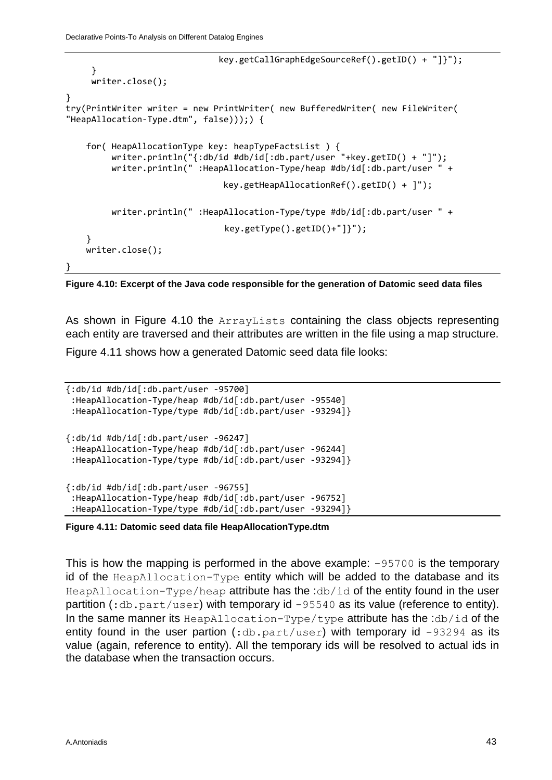```
 key.getCallGraphEdgeSourceRef().getID() + "]}");
      }
      writer.close();
} 
try(PrintWriter writer = new PrintWriter( new BufferedWriter( new FileWriter( 
"HeapAllocation-Type.dtm", false)));) {
     for( HeapAllocationType key: heapTypeFactsList ) {
          writer.println("{:db/id #db/id[:db.part/user "+key.getID() + "]");
          writer.println(" :HeapAllocation-Type/heap #db/id[:db.part/user " + 
                                key.getHeapAllocationRef().getID() + ]");
          writer.println(" :HeapAllocation-Type/type #db/id[:db.part/user " + 
                                 key.getType().getID()+"]}"); 
     }
     writer.close();
}
```
**Figure 4.10: Excerpt of the Java code responsible for the generation of Datomic seed data files**

As shown in Figure 4.10 the ArrayLists containing the class objects representing each entity are traversed and their attributes are written in the file using a map structure.

Figure 4.11 shows how a generated Datomic seed data file looks:

```
{:db/id #db/id[:db.part/user -95700]
 :HeapAllocation-Type/heap #db/id[:db.part/user -95540]
 :HeapAllocation-Type/type #db/id[:db.part/user -93294]}
{:db/id #db/id[:db.part/user -96247]
 :HeapAllocation-Type/heap #db/id[:db.part/user -96244]
 :HeapAllocation-Type/type #db/id[:db.part/user -93294]}
{:db/id #db/id[:db.part/user -96755]
 :HeapAllocation-Type/heap #db/id[:db.part/user -96752]
 :HeapAllocation-Type/type #db/id[:db.part/user -93294]}
```
#### **Figure 4.11: Datomic seed data file HeapAllocationType.dtm**

This is how the mapping is performed in the above example: -95700 is the temporary id of the HeapAllocation-Type entity which will be added to the database and its HeapAllocation-Type/heap attribute has the :db/id of the entity found in the user partition  $(:db.part/user)$  with temporary id  $-95540$  as its value (reference to entity). In the same manner its  $HeapAllocation-Type/type$  attribute has the :db/id of the entity found in the user partion  $(:d\text{b.part/user})$  with temporary id  $-93294$  as its value (again, reference to entity). All the temporary ids will be resolved to actual ids in the database when the transaction occurs.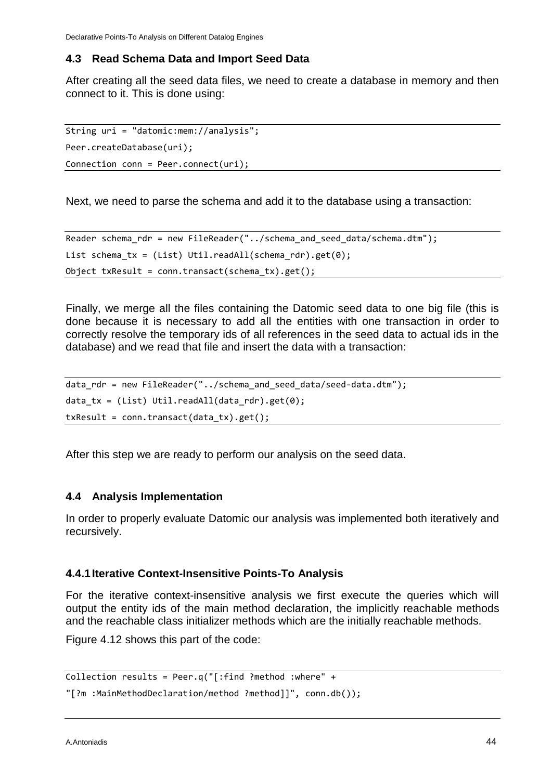#### <span id="page-43-0"></span>**4.3 Read Schema Data and Import Seed Data**

After creating all the seed data files, we need to create a database in memory and then connect to it. This is done using:

```
String uri = "datomic:mem://analysis";
Peer.createDatabase(uri);
Connection conn = Peer.connect(uri);
```
Next, we need to parse the schema and add it to the database using a transaction:

```
Reader schema_rdr = new FileReader("../schema_and_seed_data/schema.dtm");
List schema tx = (List) Util.readAll(schema rdr).get(0);
Object txResult = conn.transact(schema_tx).get();
```
Finally, we merge all the files containing the Datomic seed data to one big file (this is done because it is necessary to add all the entities with one transaction in order to correctly resolve the temporary ids of all references in the seed data to actual ids in the database) and we read that file and insert the data with a transaction:

```
data rdr = new FileReader("../schema_and_seed_data/seed-data.dtm");
data tx = (List) Util.readAll(data rdr).get(0);
txResult = conn.transact(data_tx).get();
```
After this step we are ready to perform our analysis on the seed data.

#### <span id="page-43-1"></span>**4.4 Analysis Implementation**

In order to properly evaluate Datomic our analysis was implemented both iteratively and recursively.

#### <span id="page-43-2"></span>**4.4.1Iterative Context-Insensitive Points-To Analysis**

For the iterative context-insensitive analysis we first execute the queries which will output the entity ids of the main method declaration, the implicitly reachable methods and the reachable class initializer methods which are the initially reachable methods.

Figure 4.12 shows this part of the code:

```
Collection results = Peer.q("[:find ?method :where" +
```

```
"[?m :MainMethodDeclaration/method ?method]]", conn.db());
```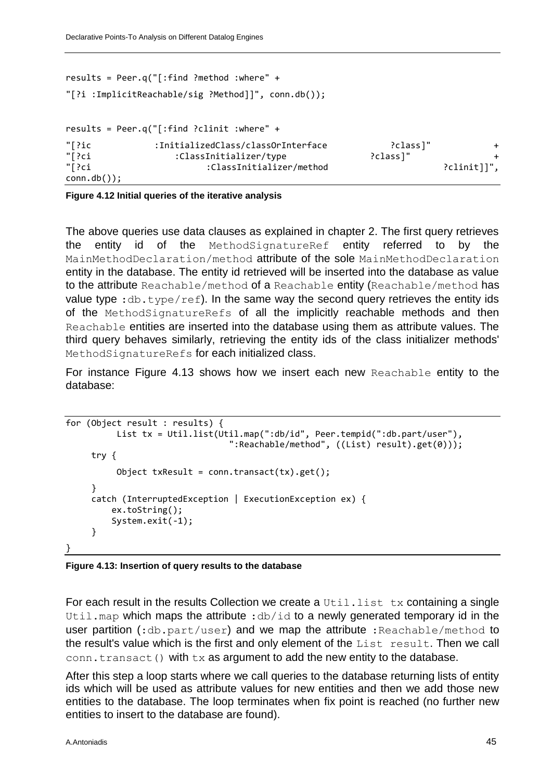```
results = Peer.q("[:find ?method :where" +
"[?i :ImplicitReachable/sig ?Method]]", conn.db());
results = Peer.q("[:find ?clinit :where" +
"[?ic :InitializedClass/classOrInterface ?class]" +
"[?ci :ClassInitializer/type ?class]" +
                     :ClassInitializer/method
conn.db());
```
**Figure 4.12 Initial queries of the iterative analysis**

The above queries use data clauses as explained in chapter 2. The first query retrieves the entity id of the MethodSignatureRef entity referred to by the MainMethodDeclaration/method attribute of the sole MainMethodDeclaration entity in the database. The entity id retrieved will be inserted into the database as value to the attribute Reachable/method of a Reachable entity (Reachable/method has value type :  $db.type/ref)$ . In the same way the second query retrieves the entity ids of the MethodSignatureRefs of all the implicitly reachable methods and then Reachable entities are inserted into the database using them as attribute values. The third query behaves similarly, retrieving the entity ids of the class initializer methods' MethodSignatureRefs for each initialized class.

For instance Figure 4.13 shows how we insert each new Reachable entity to the database:

```
for (Object result : results) {
           List tx = Util.list(Util.map(":db/id", Peer.tempid(":db.part/user"), 
                                   ":Reachable/method", ((List) result).get(0)));
      try { 
           Object txResult = conn.transact(tx).get(); 
      }
      catch (InterruptedException | ExecutionException ex) {
          ex.toString();
          System.exit(-1);
      }
}
```
#### **Figure 4.13: Insertion of query results to the database**

For each result in the results Collection we create a  $U^{\text{til}}$ . List tx containing a single Util.map which maps the attribute :  $db/id$  to a newly generated temporary id in the user partition  $(:db.part/user)$  and we map the attribute : Reachable/method to the result's value which is the first and only element of the List result. Then we call conn.transact() with tx as argument to add the new entity to the database.

After this step a loop starts where we call queries to the database returning lists of entity ids which will be used as attribute values for new entities and then we add those new entities to the database. The loop terminates when fix point is reached (no further new entities to insert to the database are found).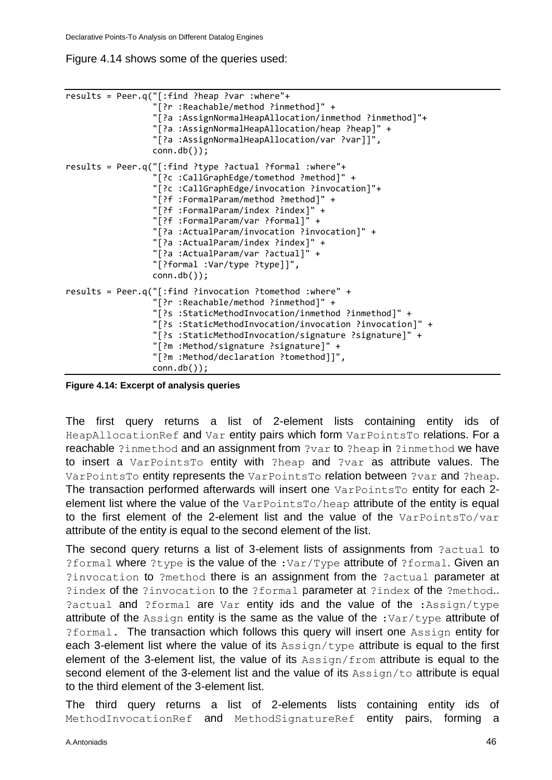Figure 4.14 shows some of the queries used:

```
results = Peer.q("[:find ?heap ?var :where"+
                   "[?r :Reachable/method ?inmethod]" +
                  "[?a :AssignNormalHeapAllocation/inmethod ?inmethod]"+
                  "[?a :AssignNormalHeapAllocation/heap ?heap]" +
                  "[?a :AssignNormalHeapAllocation/var ?var]]",
                  conn.db());
results = Peer.q("[:find ?type ?actual ?formal :where"+
                   "[?c :CallGraphEdge/tomethod ?method]" +
                   "[?c :CallGraphEdge/invocation ?invocation]"+
                  "[?f :FormalParam/method ?method]" +
                  "[?f :FormalParam/index ?index]" +
                  "[?f :FormalParam/var ?formal]" +
                  "[?a :ActualParam/invocation ?invocation]" +
                  "[?a :ActualParam/index ?index]" +
                  "[?a :ActualParam/var ?actual]" +
                  "[?formal :Var/type ?type]]",
                  conn.db());
results = Peer.q("[:find ?invocation ?tomethod :where" +
                   "[?r :Reachable/method ?inmethod]" +
                  "[?s :StaticMethodInvocation/inmethod ?inmethod]" +
                  "[?s :StaticMethodInvocation/invocation ?invocation]" +
                  "[?s :StaticMethodInvocation/signature ?signature]" + 
                  "[?m :Method/signature ?signature]" +
                  "[?m :Method/declaration ?tomethod]]",
                  conn.db());
```
**Figure 4.14: Excerpt of analysis queries**

The first query returns a list of 2-element lists containing entity ids of HeapAllocationRef and Var entity pairs which form VarPointsTo relations. For a reachable ?inmethod and an assignment from ?var to ?heap in ?inmethod we have to insert a VarPointsTo entity with ?heap and ?var as attribute values. The VarPointsTo entity represents the VarPointsTo relation between ?var and ?heap. The transaction performed afterwards will insert one VarPointsTo entity for each 2element list where the value of the VarPointsTo/heap attribute of the entity is equal to the first element of the 2-element list and the value of the VarPointsTo/var attribute of the entity is equal to the second element of the list.

The second query returns a list of 3-element lists of assignments from ?actual to ?formal where ?type is the value of the :Var/Type attribute of ?formal. Given an ?invocation to ?method there is an assignment from the ?actual parameter at ?index of the ?invocation to the ?formal parameter at ?index of the ?method.. ?actual and ?formal are Var entity ids and the value of the :Assign/type attribute of the Assign entity is the same as the value of the :Var/type attribute of ?formal. The transaction which follows this query will insert one Assign entity for each 3-element list where the value of its  $\text{Assim}/\text{type}$  attribute is equal to the first element of the 3-element list, the value of its  $\text{Assim}/\text{from}$  attribute is equal to the second element of the 3-element list and the value of its Assign/to attribute is equal to the third element of the 3-element list.

The third query returns a list of 2-elements lists containing entity ids of MethodInvocationRef and MethodSignatureRef entity pairs, forming a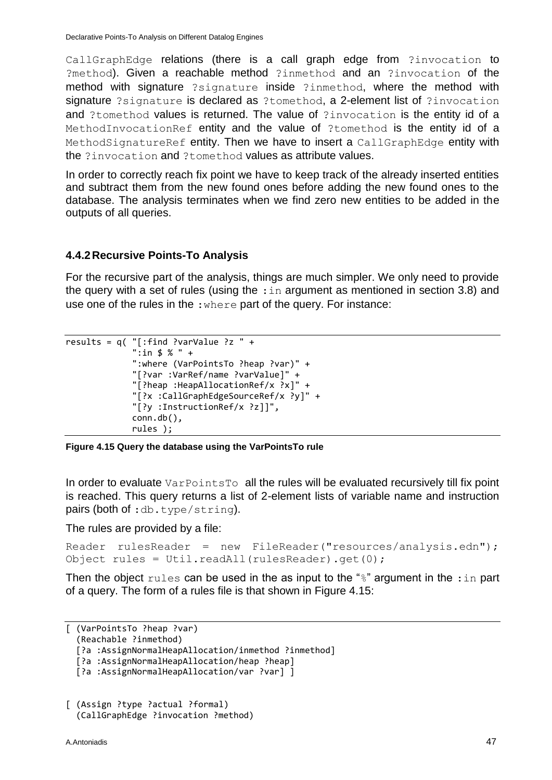CallGraphEdge relations (there is a call graph edge from ?invocation to ?method). Given a reachable method ?inmethod and an ?invocation of the method with signature ?signature inside ?inmethod, where the method with signature ?signature is declared as ?tomethod, a 2-element list of ?invocation and ?tomethod values is returned. The value of ?invocation is the entity id of a MethodInvocationRef entity and the value of ?tomethod is the entity id of a MethodSignatureRef entity. Then we have to insert a CallGraphEdge entity with the ?invocation and ?tomethod values as attribute values.

In order to correctly reach fix point we have to keep track of the already inserted entities and subtract them from the new found ones before adding the new found ones to the database. The analysis terminates when we find zero new entities to be added in the outputs of all queries.

#### <span id="page-46-0"></span>**4.4.2Recursive Points-To Analysis**

For the recursive part of the analysis, things are much simpler. We only need to provide the query with a set of rules (using the  $\pm$ in argument as mentioned in section 3.8) and use one of the rules in the :where part of the query. For instance:

```
results = q( "[:find ?varValue ?z " +
 ":in $ % " +
              ":where (VarPointsTo ?heap ?var)" +
              "[?var :VarRef/name ?varValue]" +
              "[?heap :HeapAllocationRef/x ?x]" +
              "[?x :CallGraphEdgeSourceRef/x ?y]" +
              "[?y :InstructionRef/x ?z]]",
              conn.db(), 
              rules );
```
**Figure 4.15 Query the database using the VarPointsTo rule**

In order to evaluate  $VarPointsTo$  all the rules will be evaluated recursively till fix point is reached. This query returns a list of 2-element lists of variable name and instruction pairs (both of :db.type/string).

The rules are provided by a file:

```
Reader rulesReader = new FileReader("resources/analysis.edn");
Object rules = Util.readAll(rulesReader).get(0);
```
Then the object rules can be used in the as input to the " $\frac{1}{6}$ " argument in the : in part of a query. The form of a rules file is that shown in Figure 4.15:

```
[ (VarPointsTo ?heap ?var)
   (Reachable ?inmethod)
```

```
 [?a :AssignNormalHeapAllocation/inmethod ?inmethod]
```

```
 [?a :AssignNormalHeapAllocation/heap ?heap]
```

```
 [?a :AssignNormalHeapAllocation/var ?var] ]
```

```
[ (Assign ?type ?actual ?formal) 
   (CallGraphEdge ?invocation ?method)
```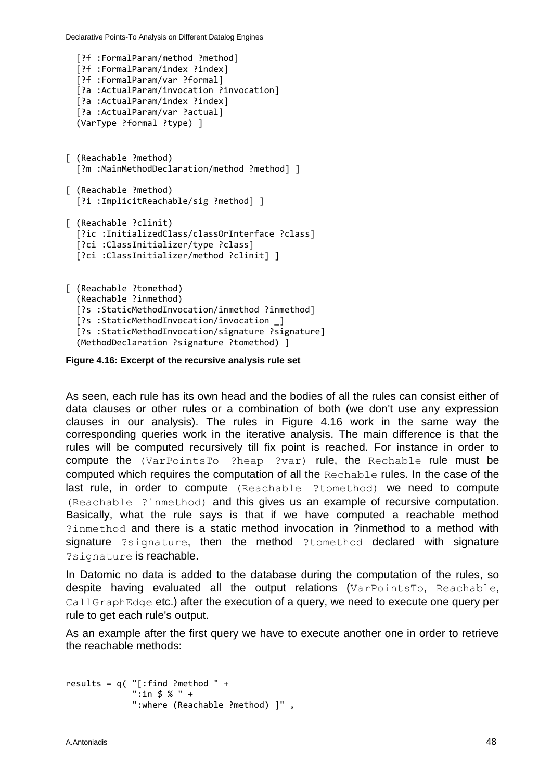Declarative Points-To Analysis on Different Datalog Engines

```
 [?f :FormalParam/method ?method]
   [?f :FormalParam/index ?index]
  [?f :FormalParam/var ?formal]
  [?a :ActualParam/invocation ?invocation]
  [?a :ActualParam/index ?index]
  [?a :ActualParam/var ?actual]
   (VarType ?formal ?type) ]
[ (Reachable ?method)
   [?m :MainMethodDeclaration/method ?method] ]
[ (Reachable ?method) 
   [?i :ImplicitReachable/sig ?method] ]
[ (Reachable ?clinit)
   [?ic :InitializedClass/classOrInterface ?class]
   [?ci :ClassInitializer/type ?class]
   [?ci :ClassInitializer/method ?clinit] ] 
[ (Reachable ?tomethod)
   (Reachable ?inmethod)
   [?s :StaticMethodInvocation/inmethod ?inmethod]
   [?s :StaticMethodInvocation/invocation _]
   [?s :StaticMethodInvocation/signature ?signature] 
   (MethodDeclaration ?signature ?tomethod) ]
```
**Figure 4.16: Excerpt of the recursive analysis rule set**

As seen, each rule has its own head and the bodies of all the rules can consist either of data clauses or other rules or a combination of both (we don't use any expression clauses in our analysis). The rules in Figure 4.16 work in the same way the corresponding queries work in the iterative analysis. The main difference is that the rules will be computed recursively till fix point is reached. For instance in order to compute the (VarPointsTo ?heap ?var) rule, the Rechable rule must be computed which requires the computation of all the Rechable rules. In the case of the last rule, in order to compute (Reachable ?tomethod) we need to compute (Reachable ?inmethod) and this gives us an example of recursive computation. Basically, what the rule says is that if we have computed a reachable method ?inmethod and there is a static method invocation in ?inmethod to a method with signature ?signature, then the method ?tomethod declared with signature ?signature is reachable.

In Datomic no data is added to the database during the computation of the rules, so despite having evaluated all the output relations (VarPointsTo, Reachable, CallGraphEdge etc.) after the execution of a query, we need to execute one query per rule to get each rule's output.

As an example after the first query we have to execute another one in order to retrieve the reachable methods:

```
results = q('[::find : method " + ":in $ % " +
              ":where (Reachable ?method) ]" ,
```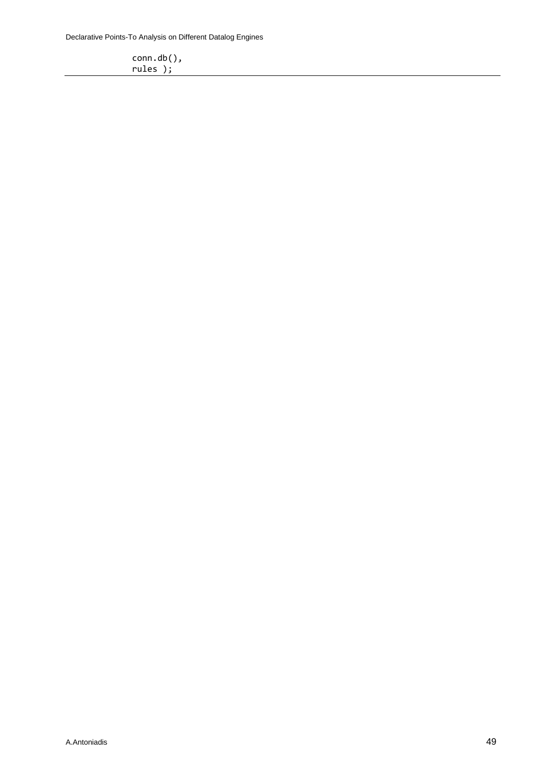Declarative Points-To Analysis on Different Datalog Engines

 conn.db(), rules  $)$ ;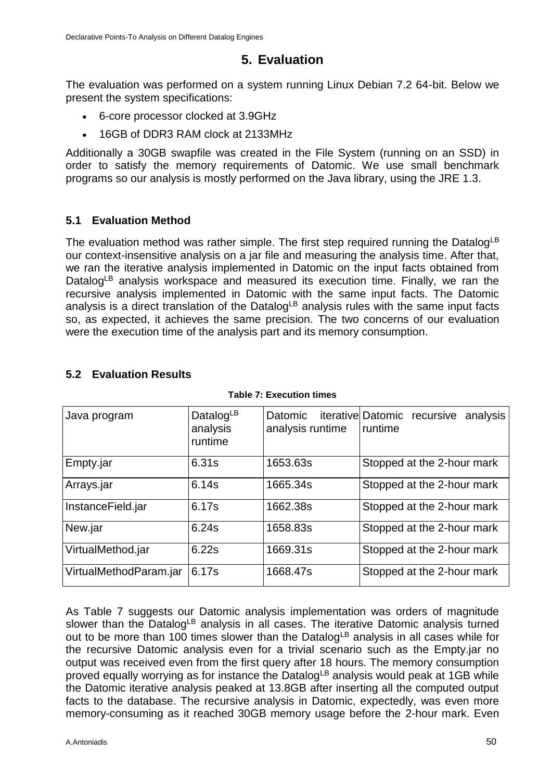## **5. Evaluation**

<span id="page-49-0"></span>The evaluation was performed on a system running Linux Debian 7.2 64-bit. Below we present the system specifications:

- 6-core processor clocked at 3.9GHz
- 16GB of DDR3 RAM clock at 2133MHz

Additionally a 30GB swapfile was created in the File System (running on an SSD) in order to satisfy the memory requirements of Datomic. We use small benchmark programs so our analysis is mostly performed on the Java library, using the JRE 1.3.

### <span id="page-49-1"></span>**5.1 Evaluation Method**

The evaluation method was rather simple. The first step required running the DatalogLB our context-insensitive analysis on a jar file and measuring the analysis time. After that, we ran the iterative analysis implemented in Datomic on the input facts obtained from Datalog<sup>LB</sup> analysis workspace and measured its execution time. Finally, we ran the recursive analysis implemented in Datomic with the same input facts. The Datomic analysis is a direct translation of the Datalog<sup>LB</sup> analysis rules with the same input facts so, as expected, it achieves the same precision. The two concerns of our evaluation were the execution time of the analysis part and its memory consumption.

### <span id="page-49-2"></span>**5.2 Evaluation Results**

| Java program           | DatalogLB<br>analysis<br>runtime | analysis runtime | Datomic iterative Datomic recursive analysis<br>runtime |
|------------------------|----------------------------------|------------------|---------------------------------------------------------|
| Empty.jar              | 6.31s                            | 1653.63s         | Stopped at the 2-hour mark                              |
| Arrays.jar             | 6.14s                            | 1665.34s         | Stopped at the 2-hour mark                              |
| InstanceField.jar      | 6.17s                            | 1662.38s         | Stopped at the 2-hour mark                              |
| New.jar                | 6.24s                            | 1658.83s         | Stopped at the 2-hour mark                              |
| VirtualMethod.jar      | 6.22s                            | 1669.31s         | Stopped at the 2-hour mark                              |
| VirtualMethodParam.jar | 6.17s                            | 1668.47s         | Stopped at the 2-hour mark                              |

#### **Table 7: Execution times**

As Table 7 suggests our Datomic analysis implementation was orders of magnitude slower than the Datalog<sup>LB</sup> analysis in all cases. The iterative Datomic analysis turned out to be more than 100 times slower than the Datalog<sup>LB</sup> analysis in all cases while for the recursive Datomic analysis even for a trivial scenario such as the Empty.jar no output was received even from the first query after 18 hours. The memory consumption proved equally worrying as for instance the Datalog<sup>LB</sup> analysis would peak at 1GB while the Datomic iterative analysis peaked at 13.8GB after inserting all the computed output facts to the database. The recursive analysis in Datomic, expectedly, was even more memory-consuming as it reached 30GB memory usage before the 2-hour mark. Even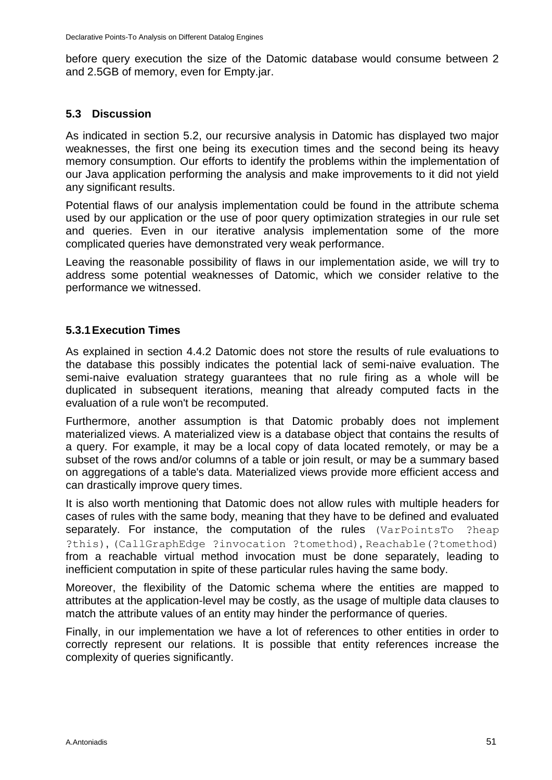before query execution the size of the Datomic database would consume between 2 and 2.5GB of memory, even for Empty.jar.

#### <span id="page-50-0"></span>**5.3 Discussion**

As indicated in section 5.2, our recursive analysis in Datomic has displayed two major weaknesses, the first one being its execution times and the second being its heavy memory consumption. Our efforts to identify the problems within the implementation of our Java application performing the analysis and make improvements to it did not yield any significant results.

Potential flaws of our analysis implementation could be found in the attribute schema used by our application or the use of poor query optimization strategies in our rule set and queries. Even in our iterative analysis implementation some of the more complicated queries have demonstrated very weak performance.

Leaving the reasonable possibility of flaws in our implementation aside, we will try to address some potential weaknesses of Datomic, which we consider relative to the performance we witnessed.

### <span id="page-50-1"></span>**5.3.1Execution Times**

As explained in section 4.4.2 Datomic does not store the results of rule evaluations to the database this possibly indicates the potential lack of semi-naive evaluation. The semi-naive evaluation strategy guarantees that no rule firing as a whole will be duplicated in subsequent iterations, meaning that already computed facts in the evaluation of a rule won't be recomputed.

Furthermore, another assumption is that Datomic probably does not implement materialized views. A materialized view is a database object that contains the results of a query. For example, it may be a local copy of data located remotely, or may be a subset of the rows and/or columns of a table or join result, or may be a summary based on aggregations of a table's data. Materialized views provide more efficient access and can drastically improve query times.

It is also worth mentioning that Datomic does not allow rules with multiple headers for cases of rules with the same body, meaning that they have to be defined and evaluated separately. For instance, the computation of the rules (VarPointsTo ?heap ?this), (CallGraphEdge ?invocation ?tomethod), Reachable(?tomethod) from a reachable virtual method invocation must be done separately, leading to inefficient computation in spite of these particular rules having the same body.

Moreover, the flexibility of the Datomic schema where the entities are mapped to attributes at the application-level may be costly, as the usage of multiple data clauses to match the attribute values of an entity may hinder the performance of queries.

Finally, in our implementation we have a lot of references to other entities in order to correctly represent our relations. It is possible that entity references increase the complexity of queries significantly.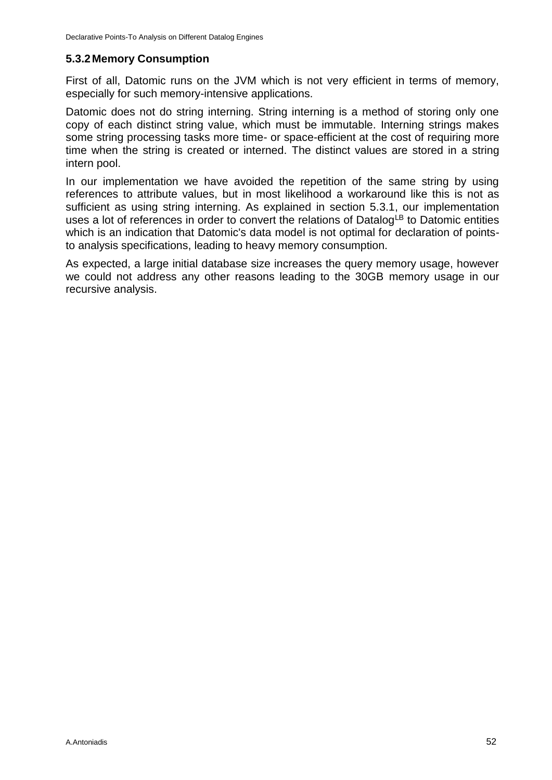#### <span id="page-51-0"></span>**5.3.2Memory Consumption**

First of all, Datomic runs on the JVM which is not very efficient in terms of memory, especially for such memory-intensive applications.

Datomic does not do string interning. String interning is a method of storing only one copy of each distinct string value, which must be immutable. Interning strings makes some string processing tasks more time- or space-efficient at the cost of requiring more time when the string is created or interned. The distinct values are stored in a string intern pool.

In our implementation we have avoided the repetition of the same string by using references to attribute values, but in most likelihood a workaround like this is not as sufficient as using string interning. As explained in section 5.3.1, our implementation uses a lot of references in order to convert the relations of Datalog<sup>LB</sup> to Datomic entities which is an indication that Datomic's data model is not optimal for declaration of pointsto analysis specifications, leading to heavy memory consumption.

As expected, a large initial database size increases the query memory usage, however we could not address any other reasons leading to the 30GB memory usage in our recursive analysis.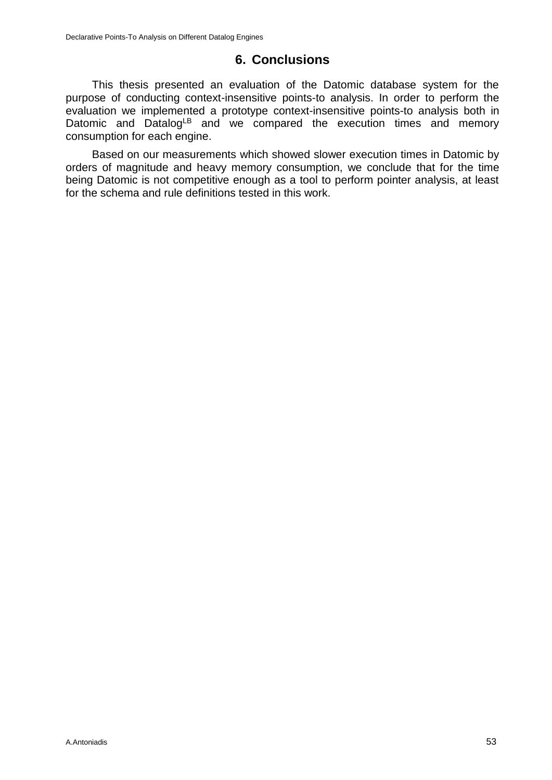## **6. Conclusions**

<span id="page-52-0"></span>This thesis presented an evaluation of the Datomic database system for the purpose of conducting context-insensitive points-to analysis. In order to perform the evaluation we implemented a prototype context-insensitive points-to analysis both in Datomic and Datalog<sup>LB</sup> and we compared the execution times and memory consumption for each engine.

Based on our measurements which showed slower execution times in Datomic by orders of magnitude and heavy memory consumption, we conclude that for the time being Datomic is not competitive enough as a tool to perform pointer analysis, at least for the schema and rule definitions tested in this work.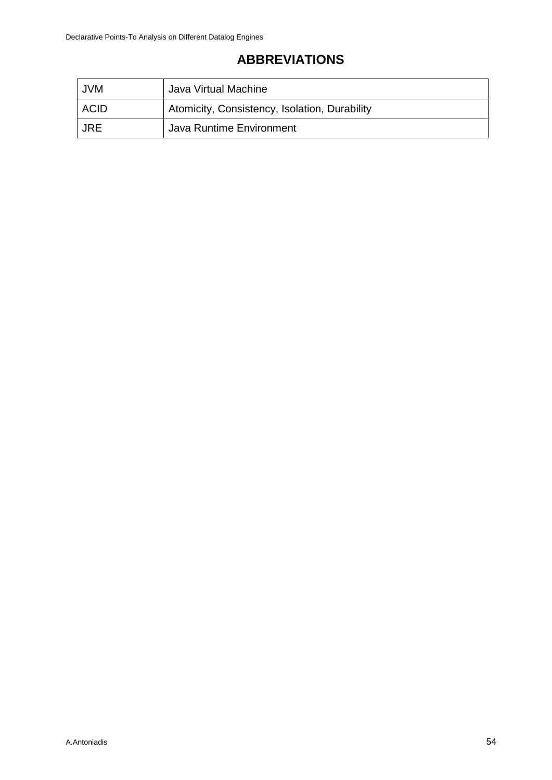# **ABBREVIATIONS**

<span id="page-53-1"></span><span id="page-53-0"></span>

| <b>JVM</b> | Java Virtual Machine                          |
|------------|-----------------------------------------------|
| ACID       | Atomicity, Consistency, Isolation, Durability |
| JRE        | Java Runtime Environment                      |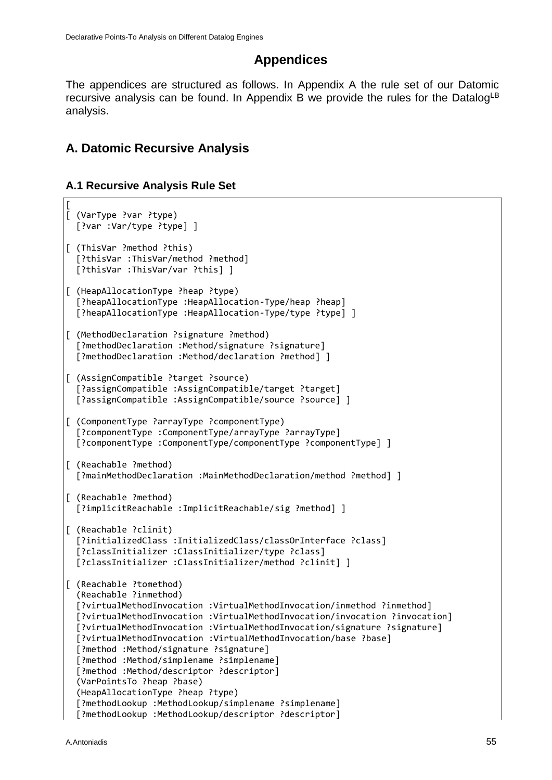## **Appendices**

The appendices are structured as follows. In Appendix A the rule set of our Datomic recursive analysis can be found. In Appendix B we provide the rules for the Datalog<sup>LB</sup> analysis.

## **A. Datomic Recursive Analysis**

#### **A.1 Recursive Analysis Rule Set**

```
[
[ (VarType ?var ?type)
   [?var :Var/type ?type] ]
[ (ThisVar ?method ?this)
   [?thisVar :ThisVar/method ?method]
   [?thisVar :ThisVar/var ?this] ]
[ (HeapAllocationType ?heap ?type)
   [?heapAllocationType :HeapAllocation-Type/heap ?heap]
   [?heapAllocationType :HeapAllocation-Type/type ?type] ]
[ (MethodDeclaration ?signature ?method)
   [?methodDeclaration :Method/signature ?signature]
   [?methodDeclaration :Method/declaration ?method] ]
[ (AssignCompatible ?target ?source)
  [?assignCompatible :AssignCompatible/target ?target]
   [?assignCompatible :AssignCompatible/source ?source] ]
[ (ComponentType ?arrayType ?componentType)
   [?componentType :ComponentType/arrayType ?arrayType]
   [?componentType :ComponentType/componentType ?componentType] ]
[ (Reachable ?method)
   [?mainMethodDeclaration :MainMethodDeclaration/method ?method] ]
[ (Reachable ?method) 
   [?implicitReachable :ImplicitReachable/sig ?method] ]
[ (Reachable ?clinit)
   [?initializedClass :InitializedClass/classOrInterface ?class]
   [?classInitializer :ClassInitializer/type ?class]
   [?classInitializer :ClassInitializer/method ?clinit] ] 
[ (Reachable ?tomethod)
   (Reachable ?inmethod)
   [?virtualMethodInvocation :VirtualMethodInvocation/inmethod ?inmethod] 
   [?virtualMethodInvocation :VirtualMethodInvocation/invocation ?invocation]
   [?virtualMethodInvocation :VirtualMethodInvocation/signature ?signature]
   [?virtualMethodInvocation :VirtualMethodInvocation/base ?base]
   [?method :Method/signature ?signature]
   [?method :Method/simplename ?simplename]
   [?method :Method/descriptor ?descriptor]
   (VarPointsTo ?heap ?base)
   (HeapAllocationType ?heap ?type)
   [?methodLookup :MethodLookup/simplename ?simplename]
   [?methodLookup :MethodLookup/descriptor ?descriptor]
```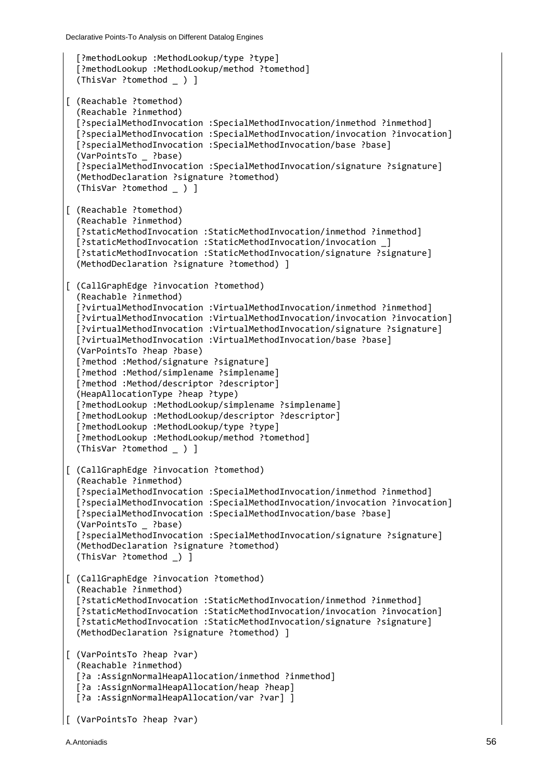```
 [?methodLookup :MethodLookup/type ?type]
   [?methodLookup :MethodLookup/method ?tomethod]
  (ThisVar ?tomethod ) ]
[ (Reachable ?tomethod)
   (Reachable ?inmethod)
   [?specialMethodInvocation :SpecialMethodInvocation/inmethod ?inmethod]
   [?specialMethodInvocation :SpecialMethodInvocation/invocation ?invocation]
   [?specialMethodInvocation :SpecialMethodInvocation/base ?base]
   (VarPointsTo _ ?base)
   [?specialMethodInvocation :SpecialMethodInvocation/signature ?signature]
   (MethodDeclaration ?signature ?tomethod)
   (ThisVar ?tomethod _ ) ]
[ (Reachable ?tomethod)
   (Reachable ?inmethod)
   [?staticMethodInvocation :StaticMethodInvocation/inmethod ?inmethod]
   [?staticMethodInvocation :StaticMethodInvocation/invocation _]
   [?staticMethodInvocation :StaticMethodInvocation/signature ?signature] 
   (MethodDeclaration ?signature ?tomethod) ]
[ (CallGraphEdge ?invocation ?tomethod)
   (Reachable ?inmethod)
   [?virtualMethodInvocation :VirtualMethodInvocation/inmethod ?inmethod] 
   [?virtualMethodInvocation :VirtualMethodInvocation/invocation ?invocation]
   [?virtualMethodInvocation :VirtualMethodInvocation/signature ?signature]
   [?virtualMethodInvocation :VirtualMethodInvocation/base ?base] 
   (VarPointsTo ?heap ?base)
  [?method :Method/signature ?signature]
   [?method :Method/simplename ?simplename]
   [?method :Method/descriptor ?descriptor]
   (HeapAllocationType ?heap ?type)
   [?methodLookup :MethodLookup/simplename ?simplename]
   [?methodLookup :MethodLookup/descriptor ?descriptor]
   [?methodLookup :MethodLookup/type ?type]
   [?methodLookup :MethodLookup/method ?tomethod] 
   (ThisVar ?tomethod _ ) ]
[ (CallGraphEdge ?invocation ?tomethod)
   (Reachable ?inmethod)
   [?specialMethodInvocation :SpecialMethodInvocation/inmethod ?inmethod]
   [?specialMethodInvocation :SpecialMethodInvocation/invocation ?invocation]
   [?specialMethodInvocation :SpecialMethodInvocation/base ?base]
   (VarPointsTo _ ?base)
   [?specialMethodInvocation :SpecialMethodInvocation/signature ?signature]
   (MethodDeclaration ?signature ?tomethod)
   (ThisVar ?tomethod _) ]
[ (CallGraphEdge ?invocation ?tomethod)
   (Reachable ?inmethod)
   [?staticMethodInvocation :StaticMethodInvocation/inmethod ?inmethod]
   [?staticMethodInvocation :StaticMethodInvocation/invocation ?invocation]
  [?staticMethodInvocation :StaticMethodInvocation/signature ?signature]
   (MethodDeclaration ?signature ?tomethod) ] 
[ (VarPointsTo ?heap ?var)
   (Reachable ?inmethod)
   [?a :AssignNormalHeapAllocation/inmethod ?inmethod]
   [?a :AssignNormalHeapAllocation/heap ?heap]
   [?a :AssignNormalHeapAllocation/var ?var] ]
[ (VarPointsTo ?heap ?var)
```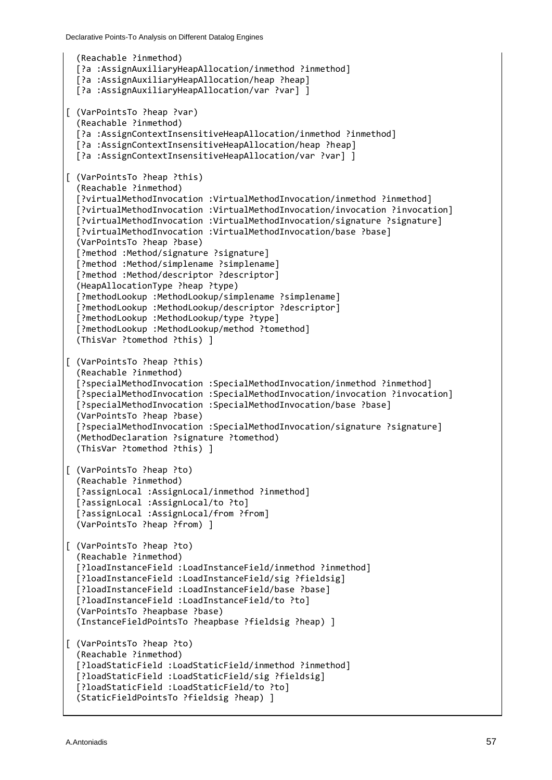```
 (Reachable ?inmethod)
  [?a :AssignAuxiliaryHeapAllocation/inmethod ?inmethod]
  [?a :AssignAuxiliaryHeapAllocation/heap ?heap]
  [?a :AssignAuxiliaryHeapAllocation/var ?var] ]
[ (VarPointsTo ?heap ?var)
   (Reachable ?inmethod)
   [?a :AssignContextInsensitiveHeapAllocation/inmethod ?inmethod]
   [?a :AssignContextInsensitiveHeapAllocation/heap ?heap]
  [?a :AssignContextInsensitiveHeapAllocation/var ?var] ]
[ (VarPointsTo ?heap ?this)
   (Reachable ?inmethod)
   [?virtualMethodInvocation :VirtualMethodInvocation/inmethod ?inmethod] 
   [?virtualMethodInvocation :VirtualMethodInvocation/invocation ?invocation]
   [?virtualMethodInvocation :VirtualMethodInvocation/signature ?signature]
   [?virtualMethodInvocation :VirtualMethodInvocation/base ?base] 
   (VarPointsTo ?heap ?base)
   [?method :Method/signature ?signature]
   [?method :Method/simplename ?simplename]
   [?method :Method/descriptor ?descriptor]
   (HeapAllocationType ?heap ?type)
   [?methodLookup :MethodLookup/simplename ?simplename]
   [?methodLookup :MethodLookup/descriptor ?descriptor] 
  [?methodLookup :MethodLookup/type ?type] 
   [?methodLookup :MethodLookup/method ?tomethod]
   (ThisVar ?tomethod ?this) ]
[ (VarPointsTo ?heap ?this)
   (Reachable ?inmethod)
   [?specialMethodInvocation :SpecialMethodInvocation/inmethod ?inmethod]
   [?specialMethodInvocation :SpecialMethodInvocation/invocation ?invocation]
   [?specialMethodInvocation :SpecialMethodInvocation/base ?base]
   (VarPointsTo ?heap ?base)
   [?specialMethodInvocation :SpecialMethodInvocation/signature ?signature]
   (MethodDeclaration ?signature ?tomethod)
   (ThisVar ?tomethod ?this) ]
[ (VarPointsTo ?heap ?to)
   (Reachable ?inmethod)
  [?assignLocal :AssignLocal/inmethod ?inmethod]
  [?assignLocal :AssignLocal/to ?to]
   [?assignLocal :AssignLocal/from ?from]
   (VarPointsTo ?heap ?from) ]
[ (VarPointsTo ?heap ?to)
   (Reachable ?inmethod)
  [?loadInstanceField :LoadInstanceField/inmethod ?inmethod]
  [?loadInstanceField :LoadInstanceField/sig ?fieldsig]
  [?loadInstanceField :LoadInstanceField/base ?base]
  [?loadInstanceField :LoadInstanceField/to ?to]
   (VarPointsTo ?heapbase ?base)
  (InstanceFieldPointsTo ?heapbase ?fieldsig ?heap) ]
[ (VarPointsTo ?heap ?to)
   (Reachable ?inmethod)
   [?loadStaticField :LoadStaticField/inmethod ?inmethod]
   [?loadStaticField :LoadStaticField/sig ?fieldsig]
  [?loadStaticField :LoadStaticField/to ?to]
   (StaticFieldPointsTo ?fieldsig ?heap) ]
```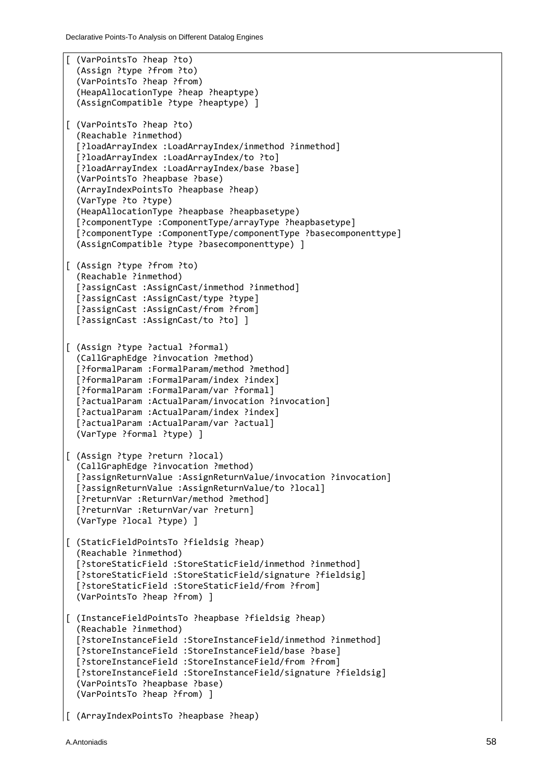```
[ (VarPointsTo ?heap ?to)
   (Assign ?type ?from ?to)
   (VarPointsTo ?heap ?from)
   (HeapAllocationType ?heap ?heaptype)
   (AssignCompatible ?type ?heaptype) ] 
[ (VarPointsTo ?heap ?to)
   (Reachable ?inmethod)
   [?loadArrayIndex :LoadArrayIndex/inmethod ?inmethod] 
   [?loadArrayIndex :LoadArrayIndex/to ?to]
   [?loadArrayIndex :LoadArrayIndex/base ?base]
   (VarPointsTo ?heapbase ?base)
   (ArrayIndexPointsTo ?heapbase ?heap)
   (VarType ?to ?type)
   (HeapAllocationType ?heapbase ?heapbasetype)
   [?componentType :ComponentType/arrayType ?heapbasetype]
   [?componentType :ComponentType/componentType ?basecomponenttype]
   (AssignCompatible ?type ?basecomponenttype) ] 
[ (Assign ?type ?from ?to)
   (Reachable ?inmethod)
   [?assignCast :AssignCast/inmethod ?inmethod]
   [?assignCast :AssignCast/type ?type]
   [?assignCast :AssignCast/from ?from]
   [?assignCast :AssignCast/to ?to] ] 
[ (Assign ?type ?actual ?formal) 
   (CallGraphEdge ?invocation ?method)
   [?formalParam :FormalParam/method ?method]
   [?formalParam :FormalParam/index ?index]
   [?formalParam :FormalParam/var ?formal]
   [?actualParam :ActualParam/invocation ?invocation]
   [?actualParam :ActualParam/index ?index]
   [?actualParam :ActualParam/var ?actual]
   (VarType ?formal ?type) ]
[ (Assign ?type ?return ?local)
   (CallGraphEdge ?invocation ?method)
   [?assignReturnValue :AssignReturnValue/invocation ?invocation]
   [?assignReturnValue :AssignReturnValue/to ?local]
   [?returnVar :ReturnVar/method ?method] 
   [?returnVar :ReturnVar/var ?return]
   (VarType ?local ?type) ]
[ (StaticFieldPointsTo ?fieldsig ?heap)
   (Reachable ?inmethod)
   [?storeStaticField :StoreStaticField/inmethod ?inmethod] 
   [?storeStaticField :StoreStaticField/signature ?fieldsig]
   [?storeStaticField :StoreStaticField/from ?from]
   (VarPointsTo ?heap ?from) ]
[ (InstanceFieldPointsTo ?heapbase ?fieldsig ?heap)
   (Reachable ?inmethod)
   [?storeInstanceField :StoreInstanceField/inmethod ?inmethod]
   [?storeInstanceField :StoreInstanceField/base ?base]
   [?storeInstanceField :StoreInstanceField/from ?from]
   [?storeInstanceField :StoreInstanceField/signature ?fieldsig]
   (VarPointsTo ?heapbase ?base)
   (VarPointsTo ?heap ?from) ]
```

```
[ (ArrayIndexPointsTo ?heapbase ?heap)
```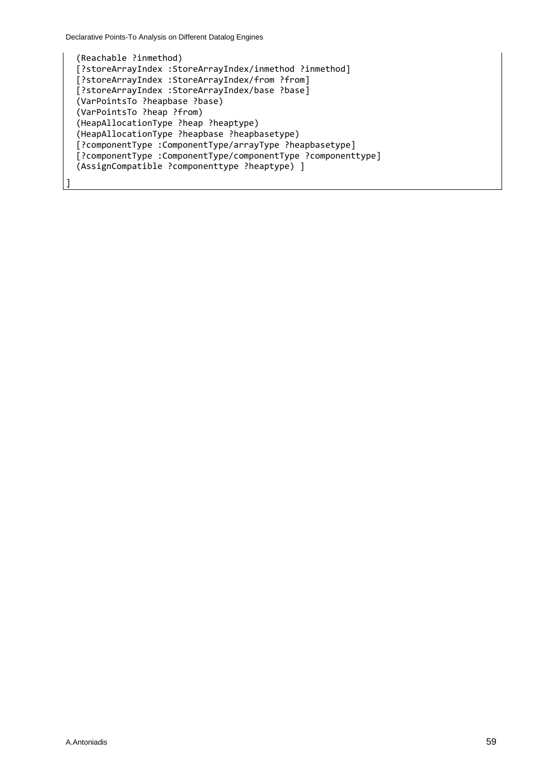]

 (Reachable ?inmethod) [?storeArrayIndex :StoreArrayIndex/inmethod ?inmethod] [?storeArrayIndex :StoreArrayIndex/from ?from] [?storeArrayIndex :StoreArrayIndex/base ?base] (VarPointsTo ?heapbase ?base) (VarPointsTo ?heap ?from) (HeapAllocationType ?heap ?heaptype) (HeapAllocationType ?heapbase ?heapbasetype) [?componentType :ComponentType/arrayType ?heapbasetype] [?componentType :ComponentType/componentType ?componenttype] (AssignCompatible ?componenttype ?heaptype) ]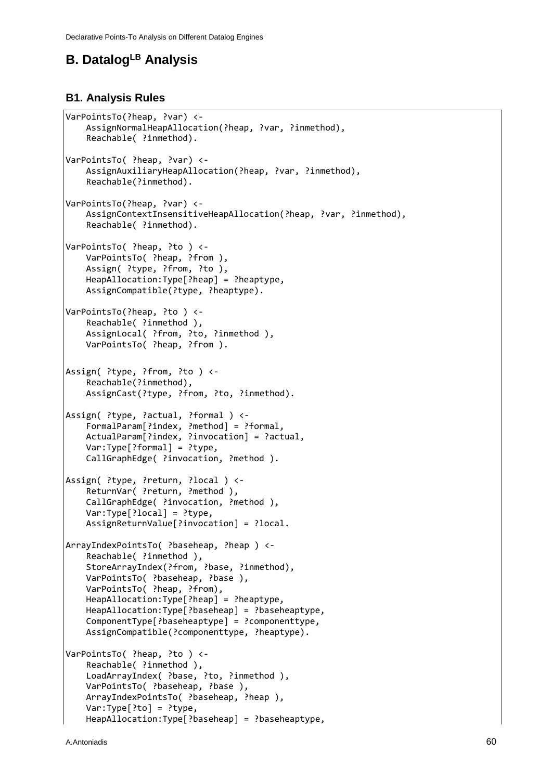# **B. DatalogLB Analysis**

#### **B1. Analysis Rules**

```
VarPointsTo(?heap, ?var) <-
     AssignNormalHeapAllocation(?heap, ?var, ?inmethod),
     Reachable( ?inmethod).
VarPointsTo( ?heap, ?var) <-
     AssignAuxiliaryHeapAllocation(?heap, ?var, ?inmethod),
     Reachable(?inmethod).
VarPointsTo(?heap, ?var) <-
     AssignContextInsensitiveHeapAllocation(?heap, ?var, ?inmethod),
     Reachable( ?inmethod).
VarPointsTo( ?heap, ?to ) <-
     VarPointsTo( ?heap, ?from ),
     Assign( ?type, ?from, ?to ),
     HeapAllocation:Type[?heap] = ?heaptype,
     AssignCompatible(?type, ?heaptype).
VarPointsTo(?heap, ?to ) <-
    Reachable( ?inmethod ),
    AssignLocal( ?from, ?to, ?inmethod ),
     VarPointsTo( ?heap, ?from ).
Assign( ?type, ?from, ?to ) <-
     Reachable(?inmethod),
     AssignCast(?type, ?from, ?to, ?inmethod).
Assign( ?type, ?actual, ?formal ) <-
     FormalParam[?index, ?method] = ?formal,
     ActualParam[?index, ?invocation] = ?actual,
     Var:Type[?formal] = ?type,
     CallGraphEdge( ?invocation, ?method ).
Assign( ?type, ?return, ?local ) <-
     ReturnVar( ?return, ?method ),
     CallGraphEdge( ?invocation, ?method ),
     Var:Type[?local] = ?type,
     AssignReturnValue[?invocation] = ?local. 
ArrayIndexPointsTo( ?baseheap, ?heap ) <-
     Reachable( ?inmethod ),
     StoreArrayIndex(?from, ?base, ?inmethod),
     VarPointsTo( ?baseheap, ?base ),
     VarPointsTo( ?heap, ?from),
     HeapAllocation:Type[?heap] = ?heaptype,
     HeapAllocation:Type[?baseheap] = ?baseheaptype,
     ComponentType[?baseheaptype] = ?componenttype,
     AssignCompatible(?componenttype, ?heaptype).
VarPointsTo( ?heap, ?to ) <-
     Reachable( ?inmethod ),
     LoadArrayIndex( ?base, ?to, ?inmethod ),
     VarPointsTo( ?baseheap, ?base ),
     ArrayIndexPointsTo( ?baseheap, ?heap ),
     Var:Type[?to] = ?type,
     HeapAllocation:Type[?baseheap] = ?baseheaptype,
```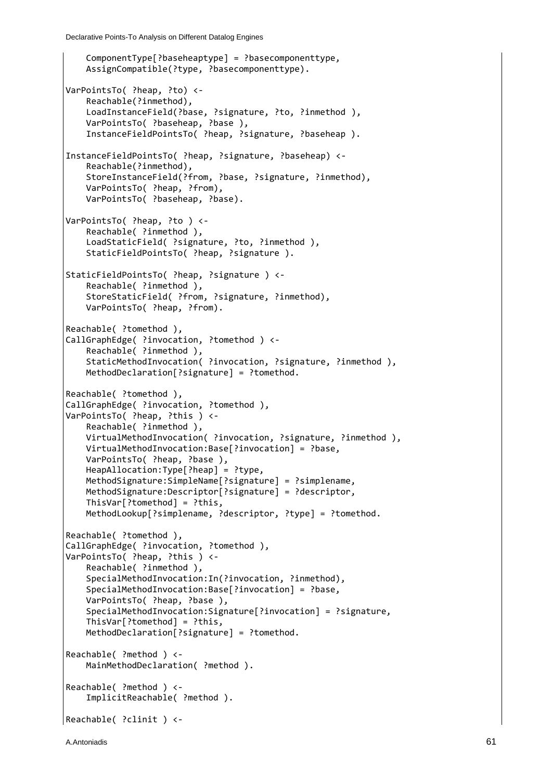```
 ComponentType[?baseheaptype] = ?basecomponenttype,
     AssignCompatible(?type, ?basecomponenttype).
VarPointsTo( ?heap, ?to) <-
     Reachable(?inmethod),
     LoadInstanceField(?base, ?signature, ?to, ?inmethod ),
     VarPointsTo( ?baseheap, ?base ),
     InstanceFieldPointsTo( ?heap, ?signature, ?baseheap ).
InstanceFieldPointsTo( ?heap, ?signature, ?baseheap) <-
     Reachable(?inmethod),
     StoreInstanceField(?from, ?base, ?signature, ?inmethod),
     VarPointsTo( ?heap, ?from),
     VarPointsTo( ?baseheap, ?base).
VarPointsTo( ?heap, ?to ) <-
     Reachable( ?inmethod ),
     LoadStaticField( ?signature, ?to, ?inmethod ),
     StaticFieldPointsTo( ?heap, ?signature ).
StaticFieldPointsTo( ?heap, ?signature ) <-
    Reachable( ?inmethod ),
     StoreStaticField( ?from, ?signature, ?inmethod),
     VarPointsTo( ?heap, ?from).
Reachable( ?tomethod ),
CallGraphEdge( ?invocation, ?tomethod ) <-
    Reachable( ?inmethod ),
     StaticMethodInvocation( ?invocation, ?signature, ?inmethod ),
     MethodDeclaration[?signature] = ?tomethod.
Reachable( ?tomethod ),
CallGraphEdge( ?invocation, ?tomethod ),
VarPointsTo( ?heap, ?this ) <-
     Reachable( ?inmethod ),
     VirtualMethodInvocation( ?invocation, ?signature, ?inmethod ),
     VirtualMethodInvocation:Base[?invocation] = ?base,
     VarPointsTo( ?heap, ?base ),
     HeapAllocation:Type[?heap] = ?type,
     MethodSignature:SimpleName[?signature] = ?simplename,
     MethodSignature:Descriptor[?signature] = ?descriptor,
     ThisVar[?tomethod] = ?this,
     MethodLookup[?simplename, ?descriptor, ?type] = ?tomethod.
Reachable( ?tomethod ),
CallGraphEdge( ?invocation, ?tomethod ),
VarPointsTo( ?heap, ?this ) <-
     Reachable( ?inmethod ),
     SpecialMethodInvocation:In(?invocation, ?inmethod),
     SpecialMethodInvocation:Base[?invocation] = ?base,
     VarPointsTo( ?heap, ?base ),
     SpecialMethodInvocation:Signature[?invocation] = ?signature,
     ThisVar[?tomethod] = ?this,
     MethodDeclaration[?signature] = ?tomethod.
Reachable( ?method ) <-
    MainMethodDeclaration( ?method ).
Reachable( ?method ) <-
     ImplicitReachable( ?method ).
Reachable( ?clinit ) <-
```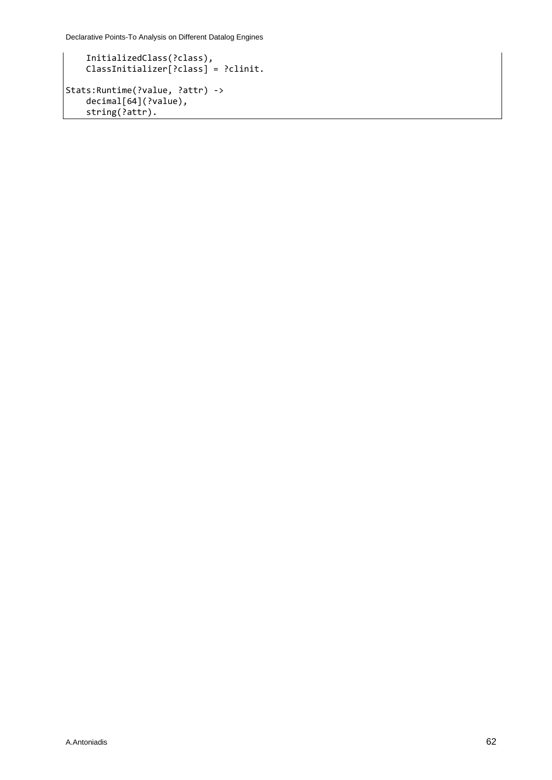Declarative Points-To Analysis on Different Datalog Engines

```
 InitializedClass(?class), 
 ClassInitializer[?class] = ?clinit.
Stats:Runtime(?value, ?attr) -> 
 decimal[64](?value), 
    string(?attr).
```